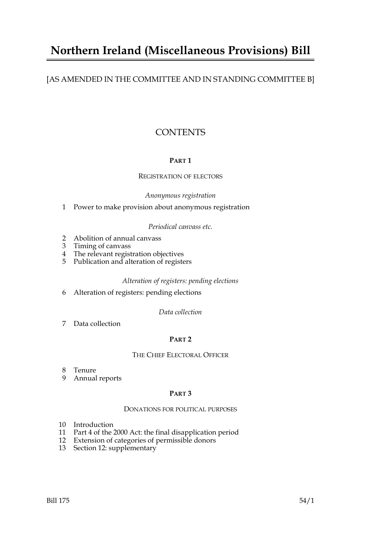## **Northern Ireland (Miscellaneous Provisions) Bill**

### [AS AMENDED IN THE COMMITTEE AND IN STANDING COMMITTEE B]

### **CONTENTS**

#### **PART 1**

#### REGISTRATION OF ELECTORS

#### *Anonymous registration*

1 Power to make provision about anonymous registration

#### *Periodical canvass etc.*

- 2 Abolition of annual canvass
- 3 Timing of canvass
- 4 The relevant registration objectives
- 5 Publication and alteration of registers

#### *Alteration of registers: pending elections*

6 Alteration of registers: pending elections

*Data collection*

7 Data collection

#### **PART 2**

#### THE CHIEF ELECTORAL OFFICER

- 8 Tenure
- 9 Annual reports

#### **PART 3**

#### DONATIONS FOR POLITICAL PURPOSES

- 10 Introduction
- 11 Part 4 of the 2000 Act: the final disapplication period
- 12 Extension of categories of permissible donors
- 13 Section 12: supplementary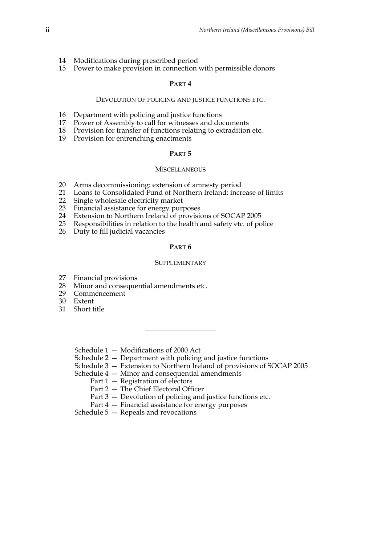- 14 Modifications during prescribed period
- 15 Power to make provision in connection with permissible donors

#### **PART 4**

#### DEVOLUTION OF POLICING AND JUSTICE FUNCTIONS ETC.

- 16 Department with policing and justice functions
- 17 Power of Assembly to call for witnesses and documents
- 18 Provision for transfer of functions relating to extradition etc.
- 19 Provision for entrenching enactments

#### **PART 5**

#### **MISCELLANEOUS**

- 20 Arms decommissioning: extension of amnesty period
- 21 Loans to Consolidated Fund of Northern Ireland: increase of limits
- 22 Single wholesale electricity market
- 23 Financial assistance for energy purposes
- 24 Extension to Northern Ireland of provisions of SOCAP 2005
- 25 Responsibilities in relation to the health and safety etc. of police
- 26 Duty to fill judicial vacancies

#### **PART 6**

#### **SUPPLEMENTARY**

- 27 Financial provisions
- 28 Minor and consequential amendments etc.<br>29 Commencement
- Commencement
- 30 Extent
- 31 Short title

Schedule 1 — Modifications of 2000 Act

Schedule 2 — Department with policing and justice functions

Schedule 3 — Extension to Northern Ireland of provisions of SOCAP 2005

Schedule 4 — Minor and consequential amendments

- Part 1 Registration of electors
- Part 2 The Chief Electoral Officer
- Part 3 Devolution of policing and justice functions etc.
- Part 4 Financial assistance for energy purposes

Schedule 5 — Repeals and revocations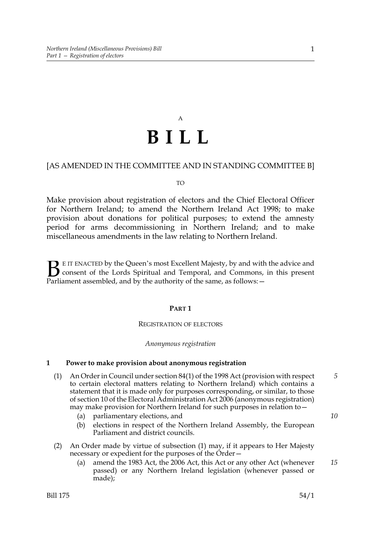# A **BILL**

#### [AS AMENDED IN THE COMMITTEE AND IN STANDING COMMITTEE B]

#### TO

Make provision about registration of electors and the Chief Electoral Officer for Northern Ireland; to amend the Northern Ireland Act 1998; to make provision about donations for political purposes; to extend the amnesty period for arms decommissioning in Northern Ireland; and to make miscellaneous amendments in the law relating to Northern Ireland.

E IT ENACTED by the Queen's most Excellent Majesty, by and with the advice and consent of the Lords Spiritual and Temporal, and Commons, in this present **B** E IT ENACTED by the Queen's most Excellent Majesty, by and with consent of the Lords Spiritual and Temporal, and Commons, Parliament assembled, and by the authority of the same, as follows:  $-$ 

#### **PART 1**

#### REGISTRATION OF ELECTORS

#### *Anonymous registration*

#### **1 Power to make provision about anonymous registration**

- (1) An Order in Council under section 84(1) of the 1998 Act (provision with respect to certain electoral matters relating to Northern Ireland) which contains a statement that it is made only for purposes corresponding, or similar, to those of section 10 of the Electoral Administration Act 2006 (anonymous registration) may make provision for Northern Ireland for such purposes in relation to—
	- (a) parliamentary elections, and
	- (b) elections in respect of the Northern Ireland Assembly, the European Parliament and district councils.
- (2) An Order made by virtue of subsection (1) may, if it appears to Her Majesty necessary or expedient for the purposes of the Order—
	- (a) amend the 1983 Act, the 2006 Act, this Act or any other Act (whenever passed) or any Northern Ireland legislation (whenever passed or made); *15*

*10*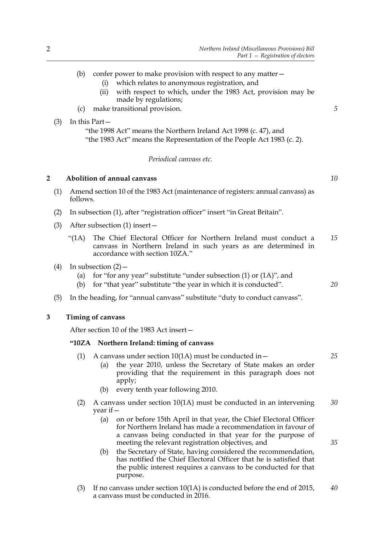- (i) which relates to anonymous registration, and
- (ii) with respect to which, under the 1983 Act, provision may be made by regulations;
- (c) make transitional provision.

#### (3) In this Part—

"the 1998 Act" means the Northern Ireland Act 1998 (c. 47), and "the 1983 Act" means the Representation of the People Act 1983 (c. 2).

#### *Periodical canvass etc.*

#### **2 Abolition of annual canvass**

- (1) Amend section 10 of the 1983 Act (maintenance of registers: annual canvass) as follows.
- (2) In subsection (1), after "registration officer" insert "in Great Britain".
- (3) After subsection (1) insert—
	- "(1A) The Chief Electoral Officer for Northern Ireland must conduct a canvass in Northern Ireland in such years as are determined in accordance with section 10ZA." *15*
- (4) In subsection  $(2)$ 
	- (a) for "for any year" substitute "under subsection  $(1)$  or  $(1A)$ ", and
	- (b) for "that year" substitute "the year in which it is conducted".
- (5) In the heading, for "annual canvass" substitute "duty to conduct canvass".

#### **3 Timing of canvass**

After section 10 of the 1983 Act insert—

#### **"10ZA Northern Ireland: timing of canvass**

- (1) A canvass under section  $10(1)$  must be conducted in  $-$ (a) the year 2010, unless the Secretary of State makes an order
	- providing that the requirement in this paragraph does not apply;
	- (b) every tenth year following 2010.
- (2) A canvass under section  $10(1)$  must be conducted in an intervening year if— *30*
	- (a) on or before 15th April in that year, the Chief Electoral Officer for Northern Ireland has made a recommendation in favour of a canvass being conducted in that year for the purpose of meeting the relevant registration objectives, and
	- (b) the Secretary of State, having considered the recommendation, has notified the Chief Electoral Officer that he is satisfied that the public interest requires a canvass to be conducted for that purpose.
- (3) If no canvass under section 10(1A) is conducted before the end of 2015, a canvass must be conducted in 2016. *40*

*10*

*5*

*20*

*25*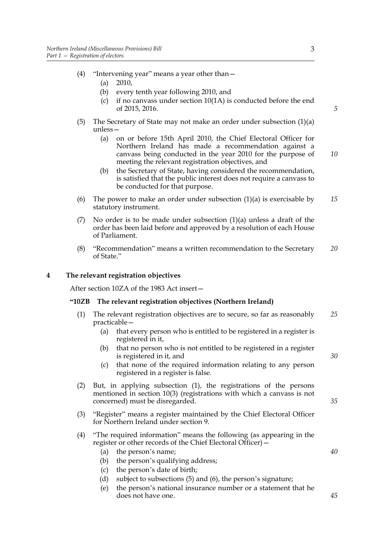- (4) "Intervening year" means a year other than—
	- (a) 2010,
	- (b) every tenth year following 2010, and
	- (c) if no canvass under section 10(1A) is conducted before the end of 2015, 2016.
- (5) The Secretary of State may not make an order under subsection (1)(a) unless—
	- (a) on or before 15th April 2010, the Chief Electoral Officer for Northern Ireland has made a recommendation against a canvass being conducted in the year 2010 for the purpose of meeting the relevant registration objectives, and *10*
	- (b) the Secretary of State, having considered the recommendation, is satisfied that the public interest does not require a canvass to be conducted for that purpose.
- (6) The power to make an order under subsection  $(1)(a)$  is exercisable by statutory instrument. *15*
- (7) No order is to be made under subsection (1)(a) unless a draft of the order has been laid before and approved by a resolution of each House of Parliament.
- (8) "Recommendation" means a written recommendation to the Secretary of State." *20*

#### **4 The relevant registration objectives**

After section 10ZA of the 1983 Act insert—

#### **"10ZB The relevant registration objectives (Northern Ireland)**

- (1) The relevant registration objectives are to secure, so far as reasonably practicable— *25*
	- (a) that every person who is entitled to be registered in a register is registered in it,
	- (b) that no person who is not entitled to be registered in a register is registered in it, and
	- (c) that none of the required information relating to any person registered in a register is false.
- (2) But, in applying subsection (1), the registrations of the persons mentioned in section 10(3) (registrations with which a canvass is not concerned) must be disregarded.
- (3) "Register" means a register maintained by the Chief Electoral Officer for Northern Ireland under section 9.
- (4) "The required information" means the following (as appearing in the register or other records of the Chief Electoral Officer)—
	- (a) the person's name;
	- (b) the person's qualifying address;
	- (c) the person's date of birth;
	- (d) subject to subsections (5) and (6), the person's signature;
	- (e) the person's national insurance number or a statement that he does not have one.

*5*

*35*

*30*

*40*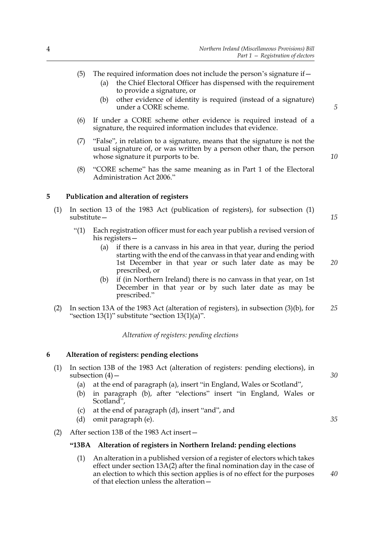- (5) The required information does not include the person's signature if  $-$ 
	- (a) the Chief Electoral Officer has dispensed with the requirement to provide a signature, or
	- (b) other evidence of identity is required (instead of a signature) under a CORE scheme.
- (6) If under a CORE scheme other evidence is required instead of a signature, the required information includes that evidence.
- (7) "False", in relation to a signature, means that the signature is not the usual signature of, or was written by a person other than, the person whose signature it purports to be.
- (8) "CORE scheme" has the same meaning as in Part 1 of the Electoral Administration Act 2006."

#### **5 Publication and alteration of registers**

- (1) In section 13 of the 1983 Act (publication of registers), for subsection (1) substitute—
	- "(1) Each registration officer must for each year publish a revised version of his registers—
		- (a) if there is a canvass in his area in that year, during the period starting with the end of the canvass in that year and ending with 1st December in that year or such later date as may be prescribed, or *20*
		- (b) if (in Northern Ireland) there is no canvass in that year, on 1st December in that year or by such later date as may be prescribed."
- (2) In section 13A of the 1983 Act (alteration of registers), in subsection (3)(b), for "section 13(1)" substitute "section 13(1)(a)". *25*

*Alteration of registers: pending elections*

#### **6 Alteration of registers: pending elections**

|     | In section 13B of the 1983 Act (alteration of registers: pending elections), in    |    |
|-----|------------------------------------------------------------------------------------|----|
|     | subsection $(4)$ –                                                                 | 30 |
|     | (a) at the end of paragraph (a), insert "in England, Wales or Scotland",           |    |
|     | (b) in paragraph (b), after "elections" insert "in England, Wales or<br>Scotland", |    |
| (C) | at the end of paragraph (d), insert "and", and                                     |    |

- (d) omit paragraph (e).
- (2) After section 13B of the 1983 Act insert—

#### **"13BA Alteration of registers in Northern Ireland: pending elections**

(1) An alteration in a published version of a register of electors which takes effect under section 13A(2) after the final nomination day in the case of an election to which this section applies is of no effect for the purposes of that election unless the alteration*5*

*10*

*15*

*30*

*35*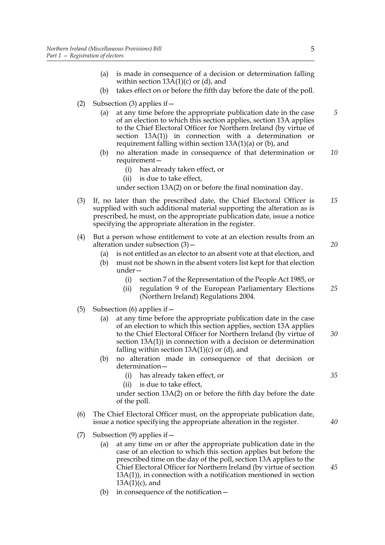- (a) is made in consequence of a decision or determination falling within section  $13A(1)(c)$  or (d), and
- (b) takes effect on or before the fifth day before the date of the poll.
- (2) Subsection (3) applies if—
	- (a) at any time before the appropriate publication date in the case of an election to which this section applies, section 13A applies to the Chief Electoral Officer for Northern Ireland (by virtue of section 13A(1)) in connection with a determination or requirement falling within section  $13A(1)(a)$  or (b), and
	- (b) no alteration made in consequence of that determination or requirement— *10*
		- (i) has already taken effect, or
		- (ii) is due to take effect,

under section 13A(2) on or before the final nomination day.

- (3) If, no later than the prescribed date, the Chief Electoral Officer is supplied with such additional material supporting the alteration as is prescribed, he must, on the appropriate publication date, issue a notice specifying the appropriate alteration in the register. *15*
- (4) But a person whose entitlement to vote at an election results from an alteration under subsection (3)—
	- (a) is not entitled as an elector to an absent vote at that election, and
	- (b) must not be shown in the absent voters list kept for that election under—
		- (i) section 7 of the Representation of the People Act 1985, or
		- (ii) regulation 9 of the European Parliamentary Elections (Northern Ireland) Regulations 2004. *25*
- (5) Subsection (6) applies if  $-$ 
	- (a) at any time before the appropriate publication date in the case of an election to which this section applies, section 13A applies to the Chief Electoral Officer for Northern Ireland (by virtue of section 13A(1)) in connection with a decision or determination falling within section  $13A(1)(c)$  or (d), and *30*
	- (b) no alteration made in consequence of that decision or determination—
		- (i) has already taken effect, or
		- (ii) is due to take effect,

under section 13A(2) on or before the fifth day before the date of the poll.

- (6) The Chief Electoral Officer must, on the appropriate publication date, issue a notice specifying the appropriate alteration in the register.
- (7) Subsection (9) applies if—
	- (a) at any time on or after the appropriate publication date in the case of an election to which this section applies but before the prescribed time on the day of the poll, section 13A applies to the Chief Electoral Officer for Northern Ireland (by virtue of section 13A(1)), in connection with a notification mentioned in section  $13A(1)(c)$ , and
	- (b) in consequence of the notification—

*5*

*20*

*35*

*40*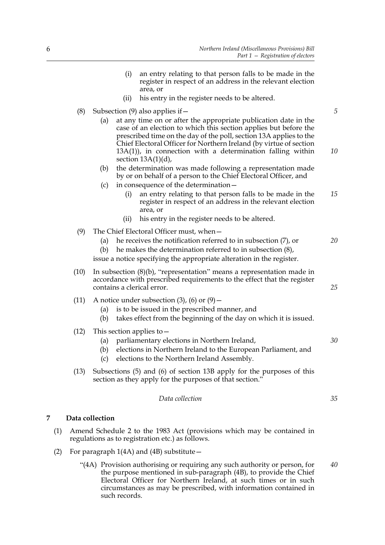- (i) an entry relating to that person falls to be made in the register in respect of an address in the relevant election area, or
- (ii) his entry in the register needs to be altered.
- (8) Subsection (9) also applies if  $-$ 
	- (a) at any time on or after the appropriate publication date in the case of an election to which this section applies but before the prescribed time on the day of the poll, section 13A applies to the Chief Electoral Officer for Northern Ireland (by virtue of section 13A(1)), in connection with a determination falling within section  $13A(1)(d)$ , *10*
	- (b) the determination was made following a representation made by or on behalf of a person to the Chief Electoral Officer, and
	- (c) in consequence of the determination—
		- (i) an entry relating to that person falls to be made in the register in respect of an address in the relevant election area, or *15*
		- (ii) his entry in the register needs to be altered.
- (9) The Chief Electoral Officer must, when—
	- (a) he receives the notification referred to in subsection (7), or *20*
	- (b) he makes the determination referred to in subsection (8),

issue a notice specifying the appropriate alteration in the register.

- (10) In subsection (8)(b), "representation" means a representation made in accordance with prescribed requirements to the effect that the register contains a clerical error.
- (11) A notice under subsection  $(3)$ ,  $(6)$  or  $(9)$ 
	- (a) is to be issued in the prescribed manner, and
	- (b) takes effect from the beginning of the day on which it is issued.
- (12) This section applies to—
	- (a) parliamentary elections in Northern Ireland,
	- (b) elections in Northern Ireland to the European Parliament, and
	- (c) elections to the Northern Ireland Assembly.
- (13) Subsections (5) and (6) of section 13B apply for the purposes of this section as they apply for the purposes of that section."

*Data collection*

#### **7 Data collection**

- (1) Amend Schedule 2 to the 1983 Act (provisions which may be contained in regulations as to registration etc.) as follows.
- (2) For paragraph 1(4A) and (4B) substitute—
	- "(4A) Provision authorising or requiring any such authority or person, for the purpose mentioned in sub-paragraph (4B), to provide the Chief Electoral Officer for Northern Ireland, at such times or in such circumstances as may be prescribed, with information contained in such records. *40*

*35*

*25*

*30*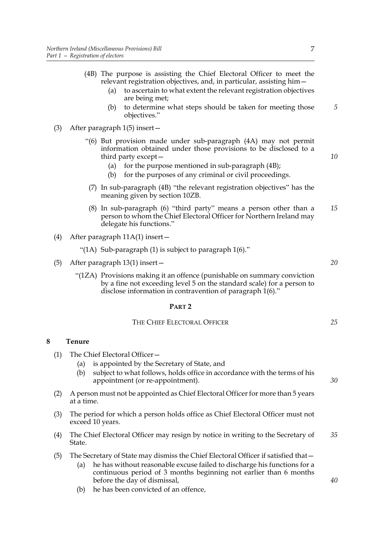- (a) to ascertain to what extent the relevant registration objectives are being met;
- (b) to determine what steps should be taken for meeting those objectives."

(3) After paragraph 1(5) insert—

- "(6) But provision made under sub-paragraph (4A) may not permit information obtained under those provisions to be disclosed to a third party except—
	- (a) for the purpose mentioned in sub-paragraph  $(4B)$ ;
	- (b) for the purposes of any criminal or civil proceedings.
- (7) In sub-paragraph (4B) "the relevant registration objectives" has the meaning given by section 10ZB.
- (8) In sub-paragraph (6) "third party" means a person other than a person to whom the Chief Electoral Officer for Northern Ireland may delegate his functions." *15*
- (4) After paragraph 11A(1) insert—
	- "(1A) Sub-paragraph (1) is subject to paragraph 1(6)."
- (5) After paragraph 13(1) insert—
	- "(1ZA) Provisions making it an offence (punishable on summary conviction by a fine not exceeding level 5 on the standard scale) for a person to disclose information in contravention of paragraph 1(6)."

#### **PART 2**

| The Chief Electoral Officer |
|-----------------------------|
|-----------------------------|

#### **8 Tenure**

- (1) The Chief Electoral Officer—
	- (a) is appointed by the Secretary of State, and
	- (b) subject to what follows, holds office in accordance with the terms of his appointment (or re-appointment).
- (2) A person must not be appointed as Chief Electoral Officer for more than 5 years at a time.
- (3) The period for which a person holds office as Chief Electoral Officer must not exceed 10 years.
- (4) The Chief Electoral Officer may resign by notice in writing to the Secretary of State. *35*
- (5) The Secretary of State may dismiss the Chief Electoral Officer if satisfied that—
	- (a) he has without reasonable excuse failed to discharge his functions for a continuous period of 3 months beginning not earlier than 6 months before the day of dismissal,
	- (b) he has been convicted of an offence,

*5*

*10*

*20*

*25*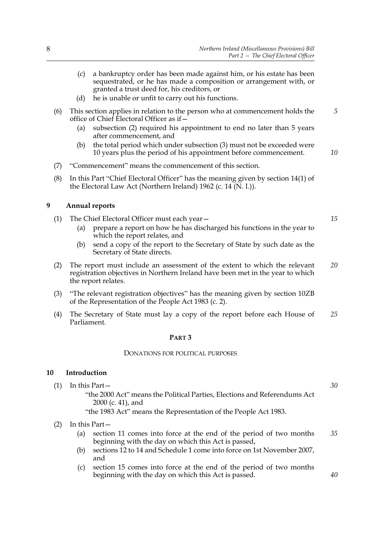- (c) a bankruptcy order has been made against him, or his estate has been sequestrated, or he has made a composition or arrangement with, or granted a trust deed for, his creditors, or
- (d) he is unable or unfit to carry out his functions.
- (6) This section applies in relation to the person who at commencement holds the office of Chief Electoral Officer as if—
	- (a) subsection (2) required his appointment to end no later than 5 years after commencement, and
	- (b) the total period which under subsection (3) must not be exceeded were 10 years plus the period of his appointment before commencement.
- (7) "Commencement" means the commencement of this section.
- (8) In this Part "Chief Electoral Officer" has the meaning given by section 14(1) of the Electoral Law Act (Northern Ireland) 1962 (c. 14 (N. I.)).

#### **9 Annual reports**

- (1) The Chief Electoral Officer must each year—
	- (a) prepare a report on how he has discharged his functions in the year to which the report relates, and
	- (b) send a copy of the report to the Secretary of State by such date as the Secretary of State directs.
- (2) The report must include an assessment of the extent to which the relevant registration objectives in Northern Ireland have been met in the year to which the report relates. *20*
- (3) "The relevant registration objectives" has the meaning given by section 10ZB of the Representation of the People Act 1983 (c. 2).
- (4) The Secretary of State must lay a copy of the report before each House of Parliament. *25*

#### **PART 3**

#### DONATIONS FOR POLITICAL PURPOSES

#### **10 Introduction**

- (1) In this Part— "the 2000 Act" means the Political Parties, Elections and Referendums Act
	- 2000 (c. 41), and

"the 1983 Act" means the Representation of the People Act 1983.

#### (2) In this Part—

- (a) section 11 comes into force at the end of the period of two months beginning with the day on which this Act is passed, *35*
- (b) sections 12 to 14 and Schedule 1 come into force on 1st November 2007, and
- (c) section 15 comes into force at the end of the period of two months beginning with the day on which this Act is passed.

*15*

*5*

*10*

*30*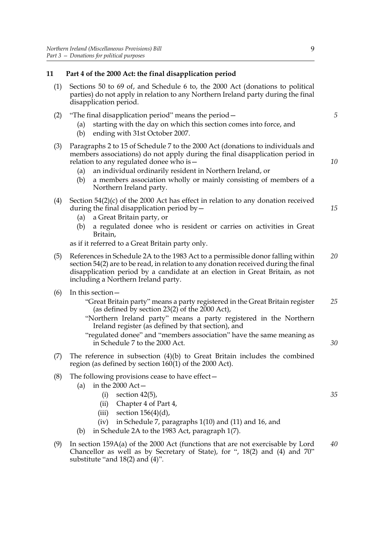# **11 Part 4 of the 2000 Act: the final disapplication period**

- (1) Sections 50 to 69 of, and Schedule 6 to, the 2000 Act (donations to political parties) do not apply in relation to any Northern Ireland party during the final disapplication period.
- (2) "The final disapplication period" means the period  $-$ 
	- (a) starting with the day on which this section comes into force, and
	- (b) ending with 31st October 2007.
- (3) Paragraphs 2 to 15 of Schedule 7 to the 2000 Act (donations to individuals and members associations) do not apply during the final disapplication period in relation to any regulated donee who is—
	- (a) an individual ordinarily resident in Northern Ireland, or
	- (b) a members association wholly or mainly consisting of members of a Northern Ireland party.
- (4) Section 54(2)(c) of the 2000 Act has effect in relation to any donation received during the final disapplication period by  $-$ 
	- (a) a Great Britain party, or
	- (b) a regulated donee who is resident or carries on activities in Great Britain,

as if it referred to a Great Britain party only.

- (5) References in Schedule 2A to the 1983 Act to a permissible donor falling within section 54(2) are to be read, in relation to any donation received during the final disapplication period by a candidate at an election in Great Britain, as not including a Northern Ireland party. *20*
- (6) In this section—
	- "Great Britain party" means a party registered in the Great Britain register (as defined by section 23(2) of the 2000 Act), *25*
	- "Northern Ireland party" means a party registered in the Northern Ireland register (as defined by that section), and
	- "regulated donee" and "members association" have the same meaning as in Schedule 7 to the 2000 Act.
- (7) The reference in subsection (4)(b) to Great Britain includes the combined region (as defined by section 160(1) of the 2000 Act).
- (8) The following provisions cease to have effect—
	- (a) in the 2000  $Act-$ 
		- $(i)$  section 42 $(5)$ ,
		- (ii) Chapter 4 of Part 4,
		- (iii) section  $156(4)(d)$ ,
		- (iv) in Schedule 7, paragraphs 1(10) and (11) and 16, and
	- (b) in Schedule 2A to the 1983 Act, paragraph 1(7).
- (9) In section 159A(a) of the 2000 Act (functions that are not exercisable by Lord Chancellor as well as by Secretary of State), for ", 18(2) and (4) and 70" substitute "and 18(2) and (4)". *40*

*5*

*10*

*15*

*35*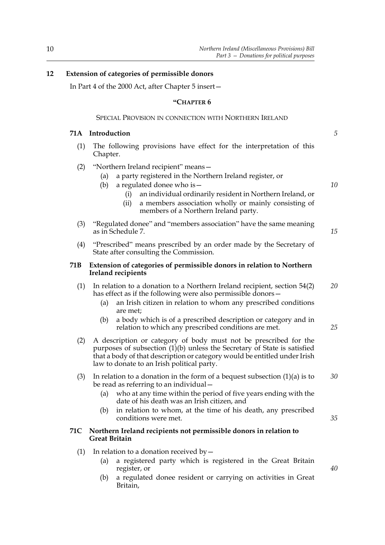#### **12 Extension of categories of permissible donors**

In Part 4 of the 2000 Act, after Chapter 5 insert—

#### **"CHAPTER 6**

#### SPECIAL PROVISION IN CONNECTION WITH NORTHERN IRELAND

#### **71A Introduction**

- (1) The following provisions have effect for the interpretation of this Chapter.
- (2) "Northern Ireland recipient" means—
	- (a) a party registered in the Northern Ireland register, or
	- (b) a regulated donee who is—
		- (i) an individual ordinarily resident in Northern Ireland, or
		- (ii) a members association wholly or mainly consisting of members of a Northern Ireland party.
- (3) "Regulated donee" and "members association" have the same meaning as in Schedule 7.
- (4) "Prescribed" means prescribed by an order made by the Secretary of State after consulting the Commission.

#### **71B Extension of categories of permissible donors in relation to Northern Ireland recipients**

- (1) In relation to a donation to a Northern Ireland recipient, section 54(2) has effect as if the following were also permissible donors— *20*
	- (a) an Irish citizen in relation to whom any prescribed conditions are met;
	- (b) a body which is of a prescribed description or category and in relation to which any prescribed conditions are met.
- (2) A description or category of body must not be prescribed for the purposes of subsection (1)(b) unless the Secretary of State is satisfied that a body of that description or category would be entitled under Irish law to donate to an Irish political party.
- (3) In relation to a donation in the form of a bequest subsection  $(1)(a)$  is to be read as referring to an individual— *30*
	- (a) who at any time within the period of five years ending with the date of his death was an Irish citizen, and
	- (b) in relation to whom, at the time of his death, any prescribed conditions were met.

#### **71C Northern Ireland recipients not permissible donors in relation to Great Britain**

- (1) In relation to a donation received by  $-$ 
	- (a) a registered party which is registered in the Great Britain register, or
	- (b) a regulated donee resident or carrying on activities in Great Britain,

*5*

*10*

*15*

*25*

*35*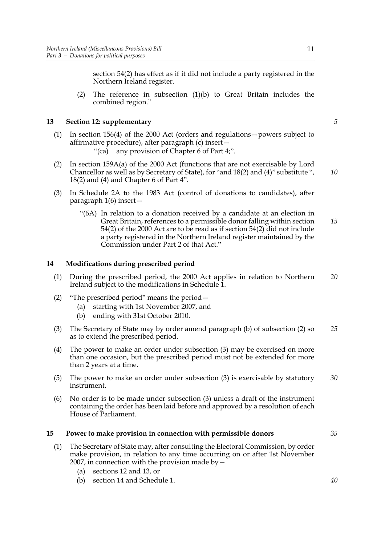section 54(2) has effect as if it did not include a party registered in the Northern Ireland register.

(2) The reference in subsection (1)(b) to Great Britain includes the combined region."

#### **13 Section 12: supplementary**

- (1) In section 156(4) of the 2000 Act (orders and regulations—powers subject to affirmative procedure), after paragraph (c) insert—
	- "(ca) any provision of Chapter 6 of Part 4;".
- (2) In section 159A(a) of the 2000 Act (functions that are not exercisable by Lord Chancellor as well as by Secretary of State), for "and 18(2) and (4)" substitute ", 18(2) and (4) and Chapter 6 of Part 4".
- (3) In Schedule 2A to the 1983 Act (control of donations to candidates), after paragraph 1(6) insert—
	- "(6A) In relation to a donation received by a candidate at an election in Great Britain, references to a permissible donor falling within section 54(2) of the 2000 Act are to be read as if section 54(2) did not include a party registered in the Northern Ireland register maintained by the Commission under Part 2 of that Act." *15*

#### **14 Modifications during prescribed period**

- (1) During the prescribed period, the 2000 Act applies in relation to Northern Ireland subject to the modifications in Schedule 1. *20*
- (2) "The prescribed period" means the period—
	- (a) starting with 1st November 2007, and
	- (b) ending with 31st October 2010.
- (3) The Secretary of State may by order amend paragraph (b) of subsection (2) so as to extend the prescribed period. *25*
- (4) The power to make an order under subsection (3) may be exercised on more than one occasion, but the prescribed period must not be extended for more than 2 years at a time.
- (5) The power to make an order under subsection (3) is exercisable by statutory instrument. *30*
- (6) No order is to be made under subsection (3) unless a draft of the instrument containing the order has been laid before and approved by a resolution of each House of Parliament.

#### **15 Power to make provision in connection with permissible donors**

- (1) The Secretary of State may, after consulting the Electoral Commission, by order make provision, in relation to any time occurring on or after 1st November 2007, in connection with the provision made by  $-$ 
	- (a) sections 12 and 13, or
	- (b) section 14 and Schedule 1.

*35*

11

*5*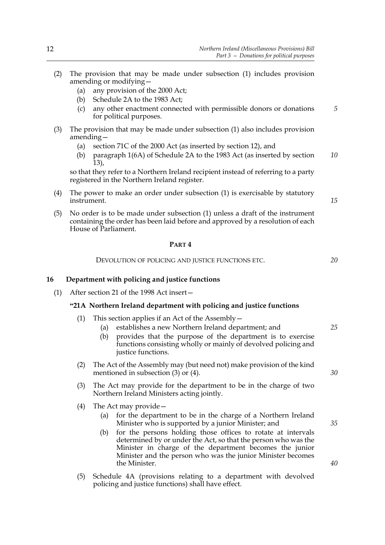- (2) The provision that may be made under subsection (1) includes provision amending or modifying—
	- (a) any provision of the 2000 Act;
	- (b) Schedule 2A to the 1983 Act;
	- (c) any other enactment connected with permissible donors or donations for political purposes. *5*
- (3) The provision that may be made under subsection (1) also includes provision amending—
	- (a) section 71C of the 2000 Act (as inserted by section 12), and
	- (b) paragraph 1(6A) of Schedule 2A to the 1983 Act (as inserted by section 13), *10*

so that they refer to a Northern Ireland recipient instead of referring to a party registered in the Northern Ireland register.

(4) The power to make an order under subsection (1) is exercisable by statutory instrument.

*15*

*20*

*25*

*30*

(5) No order is to be made under subsection (1) unless a draft of the instrument containing the order has been laid before and approved by a resolution of each House of Parliament.

#### **PART 4**

DEVOLUTION OF POLICING AND JUSTICE FUNCTIONS ETC.

#### **16 Department with policing and justice functions**

(1) After section 21 of the 1998 Act insert—

#### **"21A Northern Ireland department with policing and justice functions**

- (1) This section applies if an Act of the Assembly—
	- (a) establishes a new Northern Ireland department; and
	- (b) provides that the purpose of the department is to exercise functions consisting wholly or mainly of devolved policing and justice functions.
- (2) The Act of the Assembly may (but need not) make provision of the kind mentioned in subsection (3) or (4).
- (3) The Act may provide for the department to be in the charge of two Northern Ireland Ministers acting jointly.
- (4) The Act may provide—
	- (a) for the department to be in the charge of a Northern Ireland Minister who is supported by a junior Minister; and
	- (b) for the persons holding those offices to rotate at intervals determined by or under the Act, so that the person who was the Minister in charge of the department becomes the junior Minister and the person who was the junior Minister becomes the Minister.
- (5) Schedule 4A (provisions relating to a department with devolved policing and justice functions) shall have effect.

*40*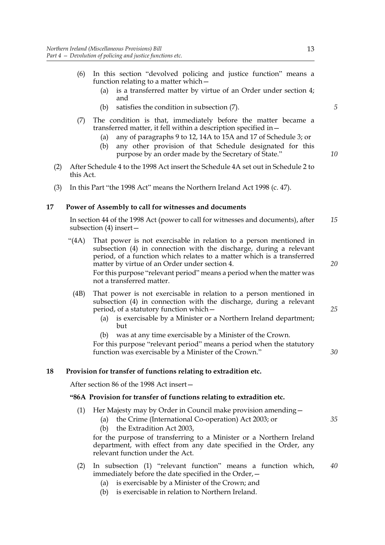- (6) In this section "devolved policing and justice function" means a function relating to a matter which—
	- (a) is a transferred matter by virtue of an Order under section 4; and
	- (b) satisfies the condition in subsection (7).
- (7) The condition is that, immediately before the matter became a transferred matter, it fell within a description specified in—
	- (a) any of paragraphs 9 to 12, 14A to 15A and 17 of Schedule 3; or
	- (b) any other provision of that Schedule designated for this purpose by an order made by the Secretary of State."
- (2) After Schedule 4 to the 1998 Act insert the Schedule 4A set out in Schedule 2 to this Act.
- (3) In this Part "the 1998 Act" means the Northern Ireland Act 1998 (c. 47).

#### **17 Power of Assembly to call for witnesses and documents**

In section 44 of the 1998 Act (power to call for witnesses and documents), after subsection (4) insert— *15*

- "(4A) That power is not exercisable in relation to a person mentioned in subsection (4) in connection with the discharge, during a relevant period, of a function which relates to a matter which is a transferred matter by virtue of an Order under section 4. For this purpose "relevant period" means a period when the matter was not a transferred matter. *20*
- (4B) That power is not exercisable in relation to a person mentioned in subsection (4) in connection with the discharge, during a relevant period, of a statutory function which—
	- (a) is exercisable by a Minister or a Northern Ireland department; but
	- (b) was at any time exercisable by a Minister of the Crown.

For this purpose "relevant period" means a period when the statutory function was exercisable by a Minister of the Crown."

#### **18 Provision for transfer of functions relating to extradition etc.**

After section 86 of the 1998 Act insert—

#### **"86A Provision for transfer of functions relating to extradition etc.**

- (1) Her Majesty may by Order in Council make provision amending—
	- (a) the Crime (International Co-operation) Act 2003; or
	- (b) the Extradition Act 2003,

for the purpose of transferring to a Minister or a Northern Ireland department, with effect from any date specified in the Order, any relevant function under the Act.

- (2) In subsection (1) "relevant function" means a function which, immediately before the date specified in the Order,— *40*
	- (a) is exercisable by a Minister of the Crown; and
	- (b) is exercisable in relation to Northern Ireland.

*5*

*10*

*25*

*30*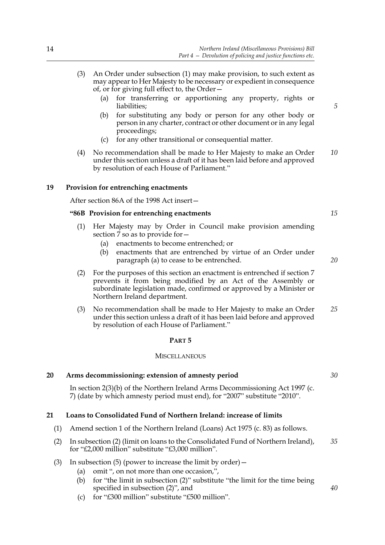- (3) An Order under subsection (1) may make provision, to such extent as may appear to Her Majesty to be necessary or expedient in consequence of, or for giving full effect to, the Order—
	- (a) for transferring or apportioning any property, rights or liabilities;
	- (b) for substituting any body or person for any other body or person in any charter, contract or other document or in any legal proceedings;
	- (c) for any other transitional or consequential matter.
- (4) No recommendation shall be made to Her Majesty to make an Order under this section unless a draft of it has been laid before and approved by resolution of each House of Parliament." *10*

#### **19 Provision for entrenching enactments**

After section 86A of the 1998 Act insert—

#### **"86B Provision for entrenching enactments**

- (1) Her Majesty may by Order in Council make provision amending section  $\frac{7}{8}$  so as to provide for  $-$ 
	- (a) enactments to become entrenched; or
	- (b) enactments that are entrenched by virtue of an Order under paragraph (a) to cease to be entrenched.
- (2) For the purposes of this section an enactment is entrenched if section 7 prevents it from being modified by an Act of the Assembly or subordinate legislation made, confirmed or approved by a Minister or Northern Ireland department.
- (3) No recommendation shall be made to Her Majesty to make an Order under this section unless a draft of it has been laid before and approved by resolution of each House of Parliament." *25*

#### **PART 5**

#### **MISCELLANEOUS**

#### **20 Arms decommissioning: extension of amnesty period**

In section 2(3)(b) of the Northern Ireland Arms Decommissioning Act 1997 (c. 7) (date by which amnesty period must end), for "2007" substitute "2010".

#### **21 Loans to Consolidated Fund of Northern Ireland: increase of limits**

- (1) Amend section 1 of the Northern Ireland (Loans) Act 1975 (c. 83) as follows.
- (2) In subsection (2) (limit on loans to the Consolidated Fund of Northern Ireland), for "£2,000 million" substitute "£3,000 million". *35*
- (3) In subsection (5) (power to increase the limit by order)  $-$ 
	- (a) omit ", on not more than one occasion,",
	- (b) for "the limit in subsection (2)" substitute "the limit for the time being specified in subsection (2)", and
	- (c) for "£300 million" substitute "£500 million".

*30*

*40*

*15*

*20*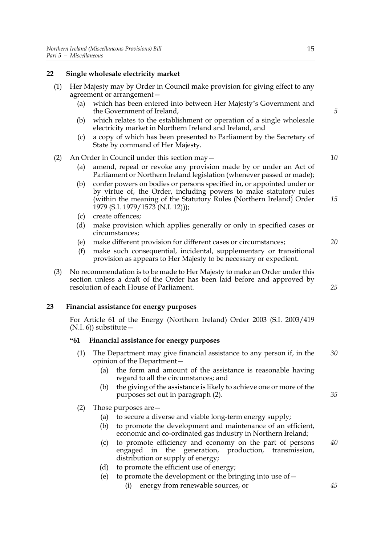#### **22 Single wholesale electricity market**

- (1) Her Majesty may by Order in Council make provision for giving effect to any agreement or arrangement—
	- (a) which has been entered into between Her Majesty's Government and the Government of Ireland,
	- (b) which relates to the establishment or operation of a single wholesale electricity market in Northern Ireland and Ireland, and
	- (c) a copy of which has been presented to Parliament by the Secretary of State by command of Her Majesty.

#### (2) An Order in Council under this section may—

- (a) amend, repeal or revoke any provision made by or under an Act of Parliament or Northern Ireland legislation (whenever passed or made);
- (b) confer powers on bodies or persons specified in, or appointed under or by virtue of, the Order, including powers to make statutory rules (within the meaning of the Statutory Rules (Northern Ireland) Order 1979 (S.I. 1979/1573 (N.I. 12))); *15*
- (c) create offences;
- (d) make provision which applies generally or only in specified cases or circumstances;
- (e) make different provision for different cases or circumstances;
- (f) make such consequential, incidental, supplementary or transitional provision as appears to Her Majesty to be necessary or expedient.
- (3) No recommendation is to be made to Her Majesty to make an Order under this section unless a draft of the Order has been laid before and approved by resolution of each House of Parliament.

#### **23 Financial assistance for energy purposes**

For Article 61 of the Energy (Northern Ireland) Order 2003 (S.I. 2003/419  $(N.I. 6)$ ) substitute –

#### **"61 Financial assistance for energy purposes**

- (1) The Department may give financial assistance to any person if, in the opinion of the Department— *30*
	- (a) the form and amount of the assistance is reasonable having regard to all the circumstances; and
	- (b) the giving of the assistance is likely to achieve one or more of the purposes set out in paragraph (2).
- (2) Those purposes are—
	- (a) to secure a diverse and viable long-term energy supply;
	- (b) to promote the development and maintenance of an efficient, economic and co-ordinated gas industry in Northern Ireland;
	- (c) to promote efficiency and economy on the part of persons engaged in the generation, production, transmission, distribution or supply of energy; *40*
	- (d) to promote the efficient use of energy;
	- (e) to promote the development or the bringing into use of  $-$ 
		- (i) energy from renewable sources, or

*5*

*10*

*20*

*25*

*35*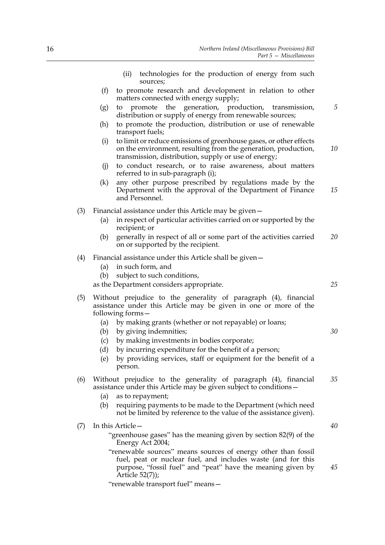|     |     | technologies for the production of energy from such<br>(ii)<br>sources;                                                                                                                      |    |
|-----|-----|----------------------------------------------------------------------------------------------------------------------------------------------------------------------------------------------|----|
|     | (f) | to promote research and development in relation to other<br>matters connected with energy supply;                                                                                            |    |
|     | (g) | promote the generation, production, transmission,<br>to<br>distribution or supply of energy from renewable sources;                                                                          | 5  |
|     | (h) | to promote the production, distribution or use of renewable<br>transport fuels;                                                                                                              |    |
|     | (i) | to limit or reduce emissions of greenhouse gases, or other effects<br>on the environment, resulting from the generation, production,<br>transmission, distribution, supply or use of energy; | 10 |
|     | (j) | to conduct research, or to raise awareness, about matters<br>referred to in sub-paragraph (i);                                                                                               |    |
|     | (k) | any other purpose prescribed by regulations made by the<br>Department with the approval of the Department of Finance<br>and Personnel.                                                       | 15 |
| (3) |     | Financial assistance under this Article may be given -                                                                                                                                       |    |
|     | (a) | in respect of particular activities carried on or supported by the<br>recipient; or                                                                                                          |    |
|     | (b) | generally in respect of all or some part of the activities carried<br>on or supported by the recipient.                                                                                      | 20 |
| (4) | (a) | Financial assistance under this Article shall be given -<br>in such form, and                                                                                                                |    |
|     | (b) | subject to such conditions,                                                                                                                                                                  |    |
|     |     | as the Department considers appropriate.                                                                                                                                                     | 25 |
| (5) |     | Without prejudice to the generality of paragraph (4), financial<br>assistance under this Article may be given in one or more of the<br>following forms –                                     |    |
|     | (a) | by making grants (whether or not repayable) or loans;                                                                                                                                        |    |
|     | (b) | by giving indemnities;                                                                                                                                                                       | 30 |
|     | (c) | by making investments in bodies corporate;                                                                                                                                                   |    |
|     | (d) | by incurring expenditure for the benefit of a person;                                                                                                                                        |    |
|     |     | (e) by providing services, staff or equipment for the benefit of a<br>person.                                                                                                                |    |
| (6) |     | Without prejudice to the generality of paragraph (4), financial<br>assistance under this Article may be given subject to conditions -                                                        | 35 |
|     | (a) | as to repayment;                                                                                                                                                                             |    |
|     | (b) | requiring payments to be made to the Department (which need<br>not be limited by reference to the value of the assistance given).                                                            |    |
| (7) |     | In this Article-                                                                                                                                                                             | 40 |
|     |     | "greenhouse gases" has the meaning given by section 82(9) of the<br>Energy Act 2004;                                                                                                         |    |
|     |     | "renewable sources" means sources of energy other than fossil<br>fuel, peat or nuclear fuel, and includes waste (and for this<br>purpose, "fossil fuel" and "peat" have the meaning given by | 45 |
|     |     | Article $52(7)$ ;<br>"renewable transport fuel" means-                                                                                                                                       |    |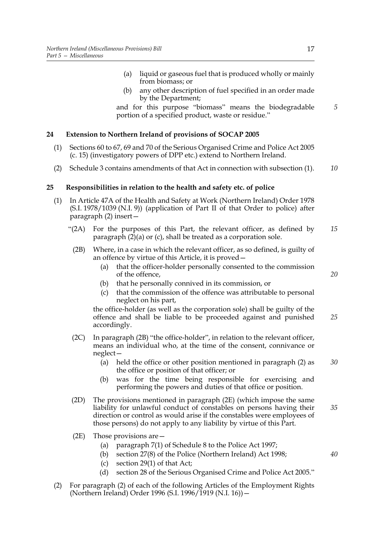- (a) liquid or gaseous fuel that is produced wholly or mainly from biomass; or
- (b) any other description of fuel specified in an order made by the Department;

and for this purpose "biomass" means the biodegradable portion of a specified product, waste or residue."

#### **24 Extension to Northern Ireland of provisions of SOCAP 2005**

- (1) Sections 60 to 67, 69 and 70 of the Serious Organised Crime and Police Act 2005 (c. 15) (investigatory powers of DPP etc.) extend to Northern Ireland.
- (2) Schedule 3 contains amendments of that Act in connection with subsection (1). *10*

#### **25 Responsibilities in relation to the health and safety etc. of police**

- (1) In Article 47A of the Health and Safety at Work (Northern Ireland) Order 1978 (S.I. 1978/1039 (N.I. 9)) (application of Part II of that Order to police) after paragraph (2) insert—
	- "(2A) For the purposes of this Part, the relevant officer, as defined by paragraph (2)(a) or (c), shall be treated as a corporation sole. *15*
	- (2B) Where, in a case in which the relevant officer, as so defined, is guilty of an offence by virtue of this Article, it is proved—
		- (a) that the officer-holder personally consented to the commission of the offence,
		- (b) that he personally connived in its commission, or
		- (c) that the commission of the offence was attributable to personal neglect on his part,

the office-holder (as well as the corporation sole) shall be guilty of the offence and shall be liable to be proceeded against and punished accordingly. *25*

- (2C) In paragraph (2B) "the office-holder", in relation to the relevant officer, means an individual who, at the time of the consent, connivance or neglect—
	- (a) held the office or other position mentioned in paragraph (2) as the office or position of that officer; or *30*
	- (b) was for the time being responsible for exercising and performing the powers and duties of that office or position.
- (2D) The provisions mentioned in paragraph (2E) (which impose the same liability for unlawful conduct of constables on persons having their direction or control as would arise if the constables were employees of those persons) do not apply to any liability by virtue of this Part. *35*
- (2E) Those provisions are—
	- (a) paragraph 7(1) of Schedule 8 to the Police Act 1997;
	- (b) section 27(8) of the Police (Northern Ireland) Act 1998;
	- (c) section 29(1) of that Act;
	- (d) section 28 of the Serious Organised Crime and Police Act 2005."
- (2) For paragraph (2) of each of the following Articles of the Employment Rights (Northern Ireland) Order 1996 (S.I. 1996/1919 (N.I. 16))—

*5*

*20*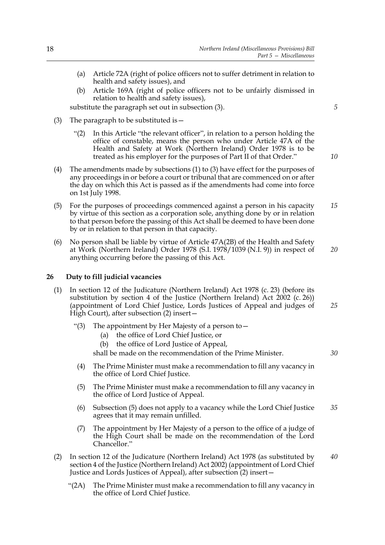- (a) Article 72A (right of police officers not to suffer detriment in relation to health and safety issues), and
- (b) Article 169A (right of police officers not to be unfairly dismissed in relation to health and safety issues),

substitute the paragraph set out in subsection (3).

- (3) The paragraph to be substituted is  $-$ 
	- "(2) In this Article "the relevant officer", in relation to a person holding the office of constable, means the person who under Article 47A of the Health and Safety at Work (Northern Ireland) Order 1978 is to be treated as his employer for the purposes of Part II of that Order."
- (4) The amendments made by subsections (1) to (3) have effect for the purposes of any proceedings in or before a court or tribunal that are commenced on or after the day on which this Act is passed as if the amendments had come into force on 1st July 1998.
- (5) For the purposes of proceedings commenced against a person in his capacity by virtue of this section as a corporation sole, anything done by or in relation to that person before the passing of this Act shall be deemed to have been done by or in relation to that person in that capacity. *15*
- (6) No person shall be liable by virtue of Article 47A(2B) of the Health and Safety at Work (Northern Ireland) Order 1978 (S.I. 1978/1039 (N.I. 9)) in respect of anything occurring before the passing of this Act. *20*

#### **26 Duty to fill judicial vacancies**

- (1) In section 12 of the Judicature (Northern Ireland) Act 1978 (c. 23) (before its substitution by section 4 of the Justice (Northern Ireland) Act 2002 (c. 26)) (appointment of Lord Chief Justice, Lords Justices of Appeal and judges of High Court), after subsection (2) insert— *25*
	- "(3) The appointment by Her Majesty of a person to  $-$ 
		- (a) the office of Lord Chief Justice, or
		- (b) the office of Lord Justice of Appeal,

shall be made on the recommendation of the Prime Minister.

- (4) The Prime Minister must make a recommendation to fill any vacancy in the office of Lord Chief Justice.
- (5) The Prime Minister must make a recommendation to fill any vacancy in the office of Lord Justice of Appeal.
- (6) Subsection (5) does not apply to a vacancy while the Lord Chief Justice agrees that it may remain unfilled. *35*
- (7) The appointment by Her Majesty of a person to the office of a judge of the High Court shall be made on the recommendation of the Lord Chancellor."
- (2) In section 12 of the Judicature (Northern Ireland) Act 1978 (as substituted by section 4 of the Justice (Northern Ireland) Act 2002) (appointment of Lord Chief Justice and Lords Justices of Appeal), after subsection (2) insert— *40*
	- "(2A) The Prime Minister must make a recommendation to fill any vacancy in the office of Lord Chief Justice.

*5*

*10*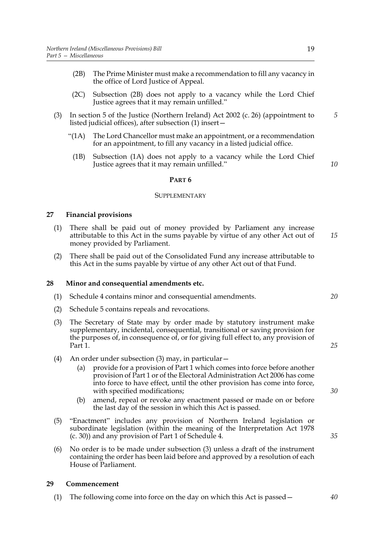- (2B) The Prime Minister must make a recommendation to fill any vacancy in the office of Lord Justice of Appeal.
- (2C) Subsection (2B) does not apply to a vacancy while the Lord Chief Justice agrees that it may remain unfilled."
- (3) In section 5 of the Justice (Northern Ireland) Act 2002 (c. 26) (appointment to listed judicial offices), after subsection (1) insert—
	- "(1A) The Lord Chancellor must make an appointment, or a recommendation for an appointment, to fill any vacancy in a listed judicial office.
	- (1B) Subsection (1A) does not apply to a vacancy while the Lord Chief Justice agrees that it may remain unfilled."

*10*

*5*

#### **PART 6**

#### SUPPLEMENTARY

#### **27 Financial provisions**

- (1) There shall be paid out of money provided by Parliament any increase attributable to this Act in the sums payable by virtue of any other Act out of money provided by Parliament. *15*
- (2) There shall be paid out of the Consolidated Fund any increase attributable to this Act in the sums payable by virtue of any other Act out of that Fund.

#### **28 Minor and consequential amendments etc.**

- (1) Schedule 4 contains minor and consequential amendments.
- (2) Schedule 5 contains repeals and revocations.
- (3) The Secretary of State may by order made by statutory instrument make supplementary, incidental, consequential, transitional or saving provision for the purposes of, in consequence of, or for giving full effect to, any provision of Part 1.
- (4) An order under subsection (3) may, in particular—
	- (a) provide for a provision of Part 1 which comes into force before another provision of Part 1 or of the Electoral Administration Act 2006 has come into force to have effect, until the other provision has come into force, with specified modifications;
	- (b) amend, repeal or revoke any enactment passed or made on or before the last day of the session in which this Act is passed.
- (5) "Enactment" includes any provision of Northern Ireland legislation or subordinate legislation (within the meaning of the Interpretation Act 1978 (c. 30)) and any provision of Part 1 of Schedule 4.
- (6) No order is to be made under subsection (3) unless a draft of the instrument containing the order has been laid before and approved by a resolution of each House of Parliament.

#### **29 Commencement**

(1) The following come into force on the day on which this Act is passed—

*20*

#### *25*

*30*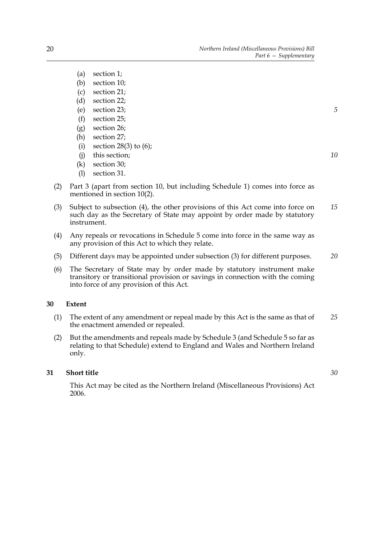- (a) section 1;
- (b) section 10;
- (c) section 21;
- (d) section 22;
- (e) section 23;
- (f) section 25;
- (g) section 26;
- (h) section 27;
- (i) section 28(3) to  $(6)$ ;
- (j) this section;
- (k) section 30;
- (l) section 31.
- (2) Part 3 (apart from section 10, but including Schedule 1) comes into force as mentioned in section 10(2).
- (3) Subject to subsection (4), the other provisions of this Act come into force on such day as the Secretary of State may appoint by order made by statutory instrument. *15*
- (4) Any repeals or revocations in Schedule 5 come into force in the same way as any provision of this Act to which they relate.
- (5) Different days may be appointed under subsection (3) for different purposes. *20*
- (6) The Secretary of State may by order made by statutory instrument make transitory or transitional provision or savings in connection with the coming into force of any provision of this Act.

#### **30 Extent**

- (1) The extent of any amendment or repeal made by this Act is the same as that of the enactment amended or repealed. *25*
- (2) But the amendments and repeals made by Schedule 3 (and Schedule 5 so far as relating to that Schedule) extend to England and Wales and Northern Ireland only.

#### **31 Short title**

*30*

This Act may be cited as the Northern Ireland (Miscellaneous Provisions) Act 2006.

*10*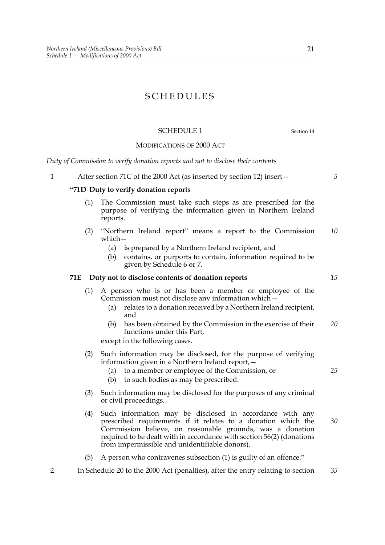### SCHEDULES

#### SCHEDULE 1 Section 14

MODIFICATIONS OF 2000 ACT

*Duty of Commission to verify donation reports and not to disclose their contents*

1 After section 71C of the 2000 Act (as inserted by section 12) insert—

#### **"71D Duty to verify donation reports**

- (1) The Commission must take such steps as are prescribed for the purpose of verifying the information given in Northern Ireland reports.
- (2) "Northern Ireland report" means a report to the Commission which— *10*
	- (a) is prepared by a Northern Ireland recipient, and
	- (b) contains, or purports to contain, information required to be given by Schedule 6 or 7.

#### **71E Duty not to disclose contents of donation reports**

- (1) A person who is or has been a member or employee of the Commission must not disclose any information which—
	- (a) relates to a donation received by a Northern Ireland recipient, and
	- (b) has been obtained by the Commission in the exercise of their functions under this Part, *20*

except in the following cases.

- (2) Such information may be disclosed, for the purpose of verifying information given in a Northern Ireland report,—
	- (a) to a member or employee of the Commission, or
	- (b) to such bodies as may be prescribed.
- (3) Such information may be disclosed for the purposes of any criminal or civil proceedings.
- (4) Such information may be disclosed in accordance with any prescribed requirements if it relates to a donation which the Commission believe, on reasonable grounds, was a donation required to be dealt with in accordance with section 56(2) (donations from impermissible and unidentifiable donors). *30*
- (5) A person who contravenes subsection (1) is guilty of an offence."
- 2 In Schedule 20 to the 2000 Act (penalties), after the entry relating to section *35*

*15*

*5*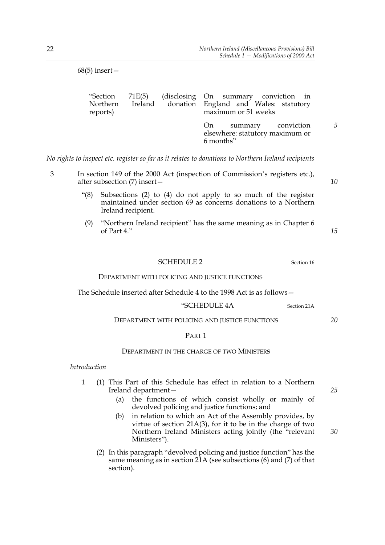| $68(5)$ insert $-$               |        |                                                                                                                |   |
|----------------------------------|--------|----------------------------------------------------------------------------------------------------------------|---|
| "Section<br>Northern<br>reports) | 71E(5) | (disclosing   On summary conviction in<br>Ireland donation England and Wales: statutory<br>maximum or 51 weeks |   |
|                                  |        | summary conviction<br>On<br>elsewhere: statutory maximum or<br>6 months"                                       | 5 |

*No rights to inspect etc. register so far as it relates to donations to Northern Ireland recipients*

- 3 In section 149 of the 2000 Act (inspection of Commission's registers etc.), after subsection (7) insert—
	- "(8) Subsections (2) to (4) do not apply to so much of the register maintained under section 69 as concerns donations to a Northern Ireland recipient.
	- (9) "Northern Ireland recipient" has the same meaning as in Chapter 6 of Part 4."

| ٧ | ٠<br>I<br>٠<br>۰.<br>۹<br>٧ |
|---|-----------------------------|
|   |                             |

*10*

### SCHEDULE 2 Section 16 DEPARTMENT WITH POLICING AND JUSTICE FUNCTIONS

The Schedule inserted after Schedule 4 to the 1998 Act is as follows—

#### "SCHEDULE 4A Section 21A

#### DEPARTMENT WITH POLICING AND JUSTICE FUNCTIONS

#### PART 1

#### DEPARTMENT IN THE CHARGE OF TWO MINISTERS

*Introduction*

- 1 (1) This Part of this Schedule has effect in relation to a Northern Ireland department—
	- (a) the functions of which consist wholly or mainly of devolved policing and justice functions; and
	- (b) in relation to which an Act of the Assembly provides, by virtue of section 21A(3), for it to be in the charge of two Northern Ireland Ministers acting jointly (the "relevant Ministers").
	- (2) In this paragraph "devolved policing and justice function" has the same meaning as in section 21A (see subsections (6) and (7) of that section).

*25*

*30*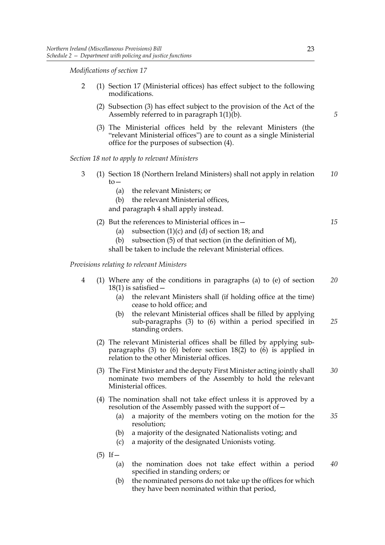*Modifications of section 17*

- 2 (1) Section 17 (Ministerial offices) has effect subject to the following modifications.
	- (2) Subsection (3) has effect subject to the provision of the Act of the Assembly referred to in paragraph 1(1)(b).
	- (3) The Ministerial offices held by the relevant Ministers (the "relevant Ministerial offices") are to count as a single Ministerial office for the purposes of subsection (4).

*Section 18 not to apply to relevant Ministers*

- 3 (1) Section 18 (Northern Ireland Ministers) shall not apply in relation  $to-$ *10*
	- (a) the relevant Ministers; or
	- (b) the relevant Ministerial offices,

and paragraph 4 shall apply instead.

- (2) But the references to Ministerial offices in— *15*
	- (a) subsection  $(1)(c)$  and  $(d)$  of section 18; and
	- (b) subsection (5) of that section (in the definition of M),

shall be taken to include the relevant Ministerial offices.

*Provisions relating to relevant Ministers*

- 4 (1) Where any of the conditions in paragraphs (a) to (e) of section  $18(1)$  is satisfied  $-$ *20*
	- (a) the relevant Ministers shall (if holding office at the time) cease to hold office; and
	- (b) the relevant Ministerial offices shall be filled by applying sub-paragraphs (3) to (6) within a period specified in standing orders. *25*
	- (2) The relevant Ministerial offices shall be filled by applying subparagraphs  $(3)$  to  $(6)$  before section 18(2) to  $(6)$  is applied in relation to the other Ministerial offices.
	- (3) The First Minister and the deputy First Minister acting jointly shall nominate two members of the Assembly to hold the relevant Ministerial offices. *30*
	- (4) The nomination shall not take effect unless it is approved by a resolution of the Assembly passed with the support of—
		- (a) a majority of the members voting on the motion for the resolution; *35*
		- (b) a majority of the designated Nationalists voting; and
		- (c) a majority of the designated Unionists voting.
	- $(5)$  If  $-$ 
		- (a) the nomination does not take effect within a period specified in standing orders; or *40*
		- (b) the nominated persons do not take up the offices for which they have been nominated within that period,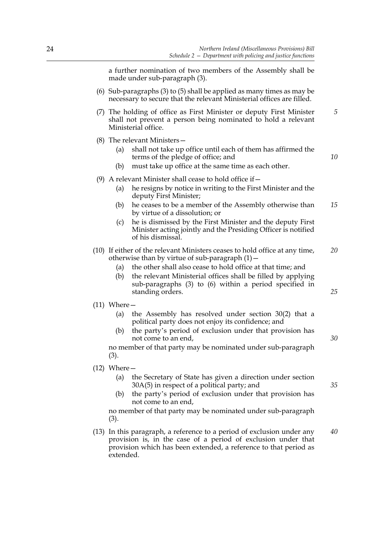a further nomination of two members of the Assembly shall be made under sub-paragraph (3).

- (6) Sub-paragraphs (3) to (5) shall be applied as many times as may be necessary to secure that the relevant Ministerial offices are filled.
- (7) The holding of office as First Minister or deputy First Minister shall not prevent a person being nominated to hold a relevant Ministerial office.
- (8) The relevant Ministers—
	- (a) shall not take up office until each of them has affirmed the terms of the pledge of office; and
	- (b) must take up office at the same time as each other.
- (9) A relevant Minister shall cease to hold office if  $-$ 
	- (a) he resigns by notice in writing to the First Minister and the deputy First Minister;
	- (b) he ceases to be a member of the Assembly otherwise than by virtue of a dissolution; or *15*
	- (c) he is dismissed by the First Minister and the deputy First Minister acting jointly and the Presiding Officer is notified of his dismissal.
- (10) If either of the relevant Ministers ceases to hold office at any time, otherwise than by virtue of sub-paragraph  $(1)$  -*20*
	- (a) the other shall also cease to hold office at that time; and
	- (b) the relevant Ministerial offices shall be filled by applying sub-paragraphs (3) to (6) within a period specified in standing orders.
- (11) Where—
	- (a) the Assembly has resolved under section 30(2) that a political party does not enjoy its confidence; and
	- (b) the party's period of exclusion under that provision has not come to an end,

no member of that party may be nominated under sub-paragraph (3).

#### (12) Where—

- (a) the Secretary of State has given a direction under section 30A(5) in respect of a political party; and
- (b) the party's period of exclusion under that provision has not come to an end,

no member of that party may be nominated under sub-paragraph (3).

(13) In this paragraph, a reference to a period of exclusion under any provision is, in the case of a period of exclusion under that provision which has been extended, a reference to that period as extended. *40*

*35*

*25*

*30*

*5*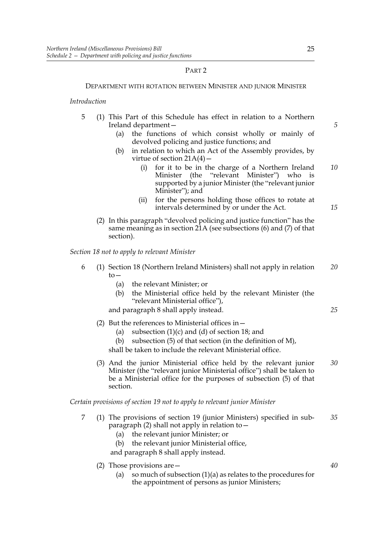#### PART 2

#### DEPARTMENT WITH ROTATION BETWEEN MINISTER AND JUNIOR MINISTER

#### *Introduction*

- 5 (1) This Part of this Schedule has effect in relation to a Northern Ireland department—
	- (a) the functions of which consist wholly or mainly of devolved policing and justice functions; and
	- (b) in relation to which an Act of the Assembly provides, by virtue of section  $21A(4)$  –
		- (i) for it to be in the charge of a Northern Ireland Minister (the "relevant Minister") who is supported by a junior Minister (the "relevant junior Minister"); and *10*
		- (ii) for the persons holding those offices to rotate at intervals determined by or under the Act.
	- (2) In this paragraph "devolved policing and justice function" has the same meaning as in section 21A (see subsections (6) and (7) of that section).

*Section 18 not to apply to relevant Minister*

- 6 (1) Section 18 (Northern Ireland Ministers) shall not apply in relation  $to-$ *20*
	- (a) the relevant Minister; or
	- (b) the Ministerial office held by the relevant Minister (the "relevant Ministerial office"),

and paragraph 8 shall apply instead.

- (2) But the references to Ministerial offices in—
	- (a) subsection  $(1)(c)$  and  $(d)$  of section 18; and
	- (b) subsection  $(5)$  of that section (in the definition of M),
	- shall be taken to include the relevant Ministerial office.
- (3) And the junior Ministerial office held by the relevant junior Minister (the "relevant junior Ministerial office") shall be taken to be a Ministerial office for the purposes of subsection (5) of that section. *30*

*Certain provisions of section 19 not to apply to relevant junior Minister*

- 7 (1) The provisions of section 19 (junior Ministers) specified in subparagraph (2) shall not apply in relation to— *35*
	- (a) the relevant junior Minister; or
	- (b) the relevant junior Ministerial office,

and paragraph 8 shall apply instead.

- (2) Those provisions are—
	- (a) so much of subsection  $(1)(a)$  as relates to the procedures for the appointment of persons as junior Ministers;

*5*

*15*

*25*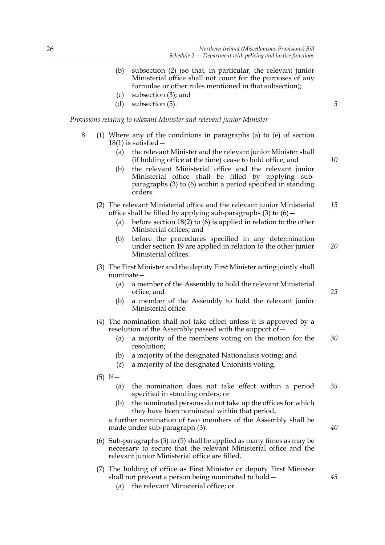- (b) subsection (2) (so that, in particular, the relevant junior Ministerial office shall not count for the purposes of any formulae or other rules mentioned in that subsection);
- (c) subsection (3); and
- (d) subsection (5).

*Provisions relating to relevant Minister and relevant junior Minister*

- 8 (1) Where any of the conditions in paragraphs (a) to (e) of section  $18(1)$  is satisfied  $-$ 
	- (a) the relevant Minister and the relevant junior Minister shall (if holding office at the time) cease to hold office; and
	- (b) the relevant Ministerial office and the relevant junior Ministerial office shall be filled by applying subparagraphs (3) to (6) within a period specified in standing orders.
	- (2) The relevant Ministerial office and the relevant junior Ministerial office shall be filled by applying sub-paragraphs  $(3)$  to  $(6)$  -*15*
		- (a) before section 18(2) to (6) is applied in relation to the other Ministerial offices; and
		- (b) before the procedures specified in any determination under section 19 are applied in relation to the other junior Ministerial offices. *20*
	- (3) The First Minister and the deputy First Minister acting jointly shall nominate—
		- (a) a member of the Assembly to hold the relevant Ministerial office; and
		- (b) a member of the Assembly to hold the relevant junior Ministerial office.
	- (4) The nomination shall not take effect unless it is approved by a resolution of the Assembly passed with the support of  $-$ 
		- (a) a majority of the members voting on the motion for the resolution; *30*
		- (b) a majority of the designated Nationalists voting; and
		- (c) a majority of the designated Unionists voting.
	- $(5)$  If
		- (a) the nomination does not take effect within a period specified in standing orders; or *35*
		- (b) the nominated persons do not take up the offices for which they have been nominated within that period,

a further nomination of two members of the Assembly shall be made under sub-paragraph (3).

- (6) Sub-paragraphs (3) to (5) shall be applied as many times as may be necessary to secure that the relevant Ministerial office and the relevant junior Ministerial office are filled.
- (7) The holding of office as First Minister or deputy First Minister shall not prevent a person being nominated to hold— (a) the relevant Ministerial office; or

*5*

*10*

*25*

*40*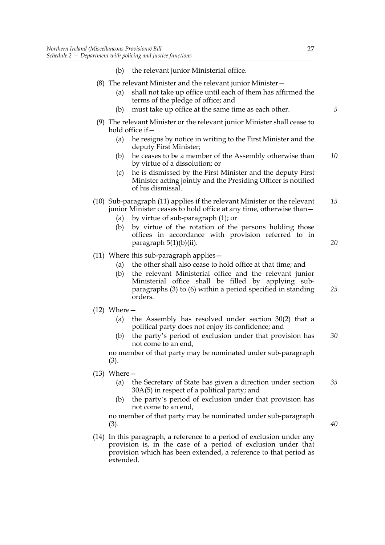- (8) The relevant Minister and the relevant junior Minister—
	- (a) shall not take up office until each of them has affirmed the terms of the pledge of office; and
	- (b) must take up office at the same time as each other.
- (9) The relevant Minister or the relevant junior Minister shall cease to hold office if—
	- (a) he resigns by notice in writing to the First Minister and the deputy First Minister;
	- (b) he ceases to be a member of the Assembly otherwise than by virtue of a dissolution; or *10*
	- (c) he is dismissed by the First Minister and the deputy First Minister acting jointly and the Presiding Officer is notified of his dismissal.
- (10) Sub-paragraph (11) applies if the relevant Minister or the relevant junior Minister ceases to hold office at any time, otherwise than— *15*
	- (a) by virtue of sub-paragraph (1); or
	- (b) by virtue of the rotation of the persons holding those offices in accordance with provision referred to in paragraph 5(1)(b)(ii).
- (11) Where this sub-paragraph applies—
	- (a) the other shall also cease to hold office at that time; and
	- (b) the relevant Ministerial office and the relevant junior Ministerial office shall be filled by applying subparagraphs (3) to (6) within a period specified in standing orders. *25*
- (12) Where—
	- (a) the Assembly has resolved under section 30(2) that a political party does not enjoy its confidence; and
	- (b) the party's period of exclusion under that provision has not come to an end, *30*

no member of that party may be nominated under sub-paragraph (3).

- (13) Where—
	- (a) the Secretary of State has given a direction under section 30A(5) in respect of a political party; and *35*
	- (b) the party's period of exclusion under that provision has not come to an end,

no member of that party may be nominated under sub-paragraph (3).

(14) In this paragraph, a reference to a period of exclusion under any provision is, in the case of a period of exclusion under that provision which has been extended, a reference to that period as extended.

*5*

*20*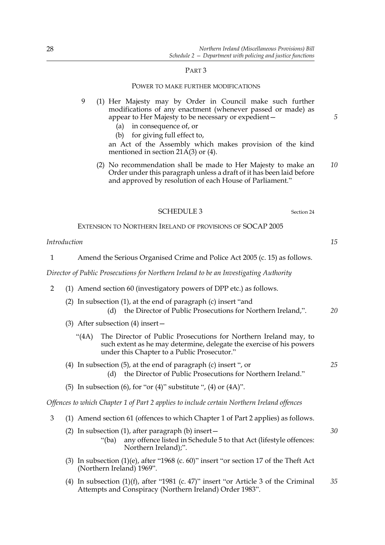#### PART 3

#### POWER TO MAKE FURTHER MODIFICATIONS

- 9 (1) Her Majesty may by Order in Council make such further modifications of any enactment (whenever passed or made) as appear to Her Majesty to be necessary or expedient—
	- (a) in consequence of, or
	- (b) for giving full effect to,

an Act of the Assembly which makes provision of the kind mentioned in section  $21\text{\AA}(3)$  or (4).

(2) No recommendation shall be made to Her Majesty to make an Order under this paragraph unless a draft of it has been laid before and approved by resolution of each House of Parliament." *10*

#### SCHEDULE 3 Section 24

EXTENSION TO NORTHERN IRELAND OF PROVISIONS OF SOCAP 2005

#### *Introduction*

| Amend the Serious Organised Crime and Police Act 2005 (c. 15) as follows. |
|---------------------------------------------------------------------------|
|---------------------------------------------------------------------------|

*Director of Public Prosecutions for Northern Ireland to be an Investigating Authority*

- 2 (1) Amend section 60 (investigatory powers of DPP etc.) as follows.
	- (2) In subsection (1), at the end of paragraph (c) insert "and (d) the Director of Public Prosecutions for Northern Ireland,". *20*
	- (3) After subsection (4) insert—
		- "(4A) The Director of Public Prosecutions for Northern Ireland may, to such extent as he may determine, delegate the exercise of his powers under this Chapter to a Public Prosecutor."
	- (4) In subsection (5), at the end of paragraph (c) insert ", or (d) the Director of Public Prosecutions for Northern Ireland."
	- (5) In subsection (6), for "or (4)" substitute ", (4) or  $(4A)$ ".

Northern Ireland);".

*Offences to which Chapter 1 of Part 2 applies to include certain Northern Ireland offences*

- 3 (1) Amend section 61 (offences to which Chapter 1 of Part 2 applies) as follows.
	- (2) In subsection (1), after paragraph (b) insert— "(ba) any offence listed in Schedule 5 to that Act (lifestyle offences:
	- (3) In subsection (1)(e), after "1968 (c. 60)" insert "or section 17 of the Theft Act (Northern Ireland) 1969".
	- (4) In subsection (1)(f), after "1981 (c. 47)" insert "or Article 3 of the Criminal Attempts and Conspiracy (Northern Ireland) Order 1983". *35*

*15*

*5*

*25*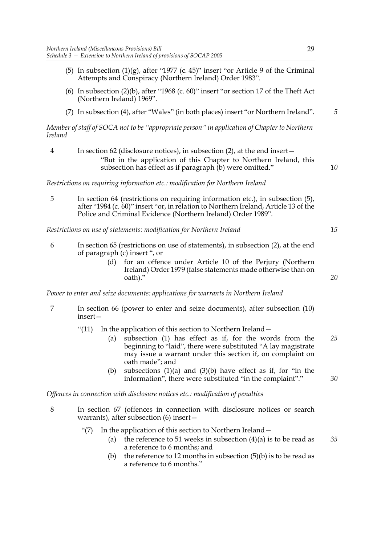- (5) In subsection  $(1)(g)$ , after "1977 (c. 45)" insert "or Article 9 of the Criminal Attempts and Conspiracy (Northern Ireland) Order 1983".
- (6) In subsection (2)(b), after "1968 (c. 60)" insert "or section 17 of the Theft Act (Northern Ireland) 1969".
- (7) In subsection (4), after "Wales" (in both places) insert "or Northern Ireland". *5*

*Member of staff of SOCA not to be "appropriate person" in application of Chapter to Northern Ireland*

4 In section 62 (disclosure notices), in subsection (2), at the end insert— "But in the application of this Chapter to Northern Ireland, this subsection has effect as if paragraph (b) were omitted."

*Restrictions on requiring information etc.: modification for Northern Ireland*

5 In section 64 (restrictions on requiring information etc.), in subsection (5), after "1984 (c. 60)" insert "or, in relation to Northern Ireland, Article 13 of the Police and Criminal Evidence (Northern Ireland) Order 1989".

*Restrictions on use of statements: modification for Northern Ireland*

- 6 In section 65 (restrictions on use of statements), in subsection (2), at the end of paragraph (c) insert ", or
	- (d) for an offence under Article 10 of the Perjury (Northern Ireland) Order 1979 (false statements made otherwise than on oath)."

*Power to enter and seize documents: applications for warrants in Northern Ireland*

- 7 In section 66 (power to enter and seize documents), after subsection (10) insert—
	- "(11) In the application of this section to Northern Ireland—
		- (a) subsection (1) has effect as if, for the words from the beginning to "laid", there were substituted "A lay magistrate may issue a warrant under this section if, on complaint on oath made"; and *25*
		- (b) subsections  $(1)(a)$  and  $(3)(b)$  have effect as if, for "in the information", there were substituted "in the complaint"."

*Offences in connection with disclosure notices etc.: modification of penalties*

- 8 In section 67 (offences in connection with disclosure notices or search warrants), after subsection (6) insert—
	- "(7) In the application of this section to Northern Ireland—
		- (a) the reference to 51 weeks in subsection  $(4)(a)$  is to be read as a reference to 6 months; and *35*
		- (b) the reference to 12 months in subsection  $(5)(b)$  is to be read as a reference to 6 months."

29

*20*

*15*

*10*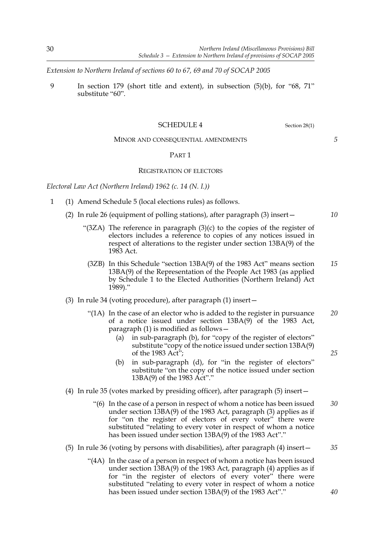*Extension to Northern Ireland of sections 60 to 67, 69 and 70 of SOCAP 2005*

9 In section 179 (short title and extent), in subsection (5)(b), for "68, 71" substitute "60".

#### SCHEDULE 4 Section 28(1)

MINOR AND CONSEQUENTIAL AMENDMENTS

#### PART 1

#### REGISTRATION OF ELECTORS

*Electoral Law Act (Northern Ireland) 1962 (c. 14 (N. I.))*

- 1 (1) Amend Schedule 5 (local elections rules) as follows.
	- (2) In rule 26 (equipment of polling stations), after paragraph (3) insert—
		- "(3ZA) The reference in paragraph (3)(c) to the copies of the register of electors includes a reference to copies of any notices issued in respect of alterations to the register under section 13BA(9) of the 1983 Act.
			- (3ZB) In this Schedule "section 13BA(9) of the 1983 Act" means section 13BA(9) of the Representation of the People Act 1983 (as applied by Schedule 1 to the Elected Authorities (Northern Ireland) Act  $1989$ ." *15*
	- (3) In rule 34 (voting procedure), after paragraph (1) insert—
		- "(1A) In the case of an elector who is added to the register in pursuance of a notice issued under section 13BA(9) of the 1983 Act, paragraph (1) is modified as follows— *20*
			- (a) in sub-paragraph (b), for "copy of the register of electors" substitute "copy of the notice issued under section 13BA(9) of the 1983 Act";
			- (b) in sub-paragraph (d), for "in the register of electors" substitute "on the copy of the notice issued under section 13BA(9) of the 1983 Act"."
	- (4) In rule 35 (votes marked by presiding officer), after paragraph (5) insert—
		- "(6) In the case of a person in respect of whom a notice has been issued under section 13BA(9) of the 1983 Act, paragraph (3) applies as if for "on the register of electors of every voter" there were substituted "relating to every voter in respect of whom a notice has been issued under section 13BA(9) of the 1983 Act"." *30*

#### (5) In rule 36 (voting by persons with disabilities), after paragraph (4) insert—

 "(4A) In the case of a person in respect of whom a notice has been issued under section 13BA(9) of the 1983 Act, paragraph (4) applies as if for "in the register of electors of every voter" there were substituted "relating to every voter in respect of whom a notice has been issued under section 13BA(9) of the 1983 Act"."

*10*

*5*

*25*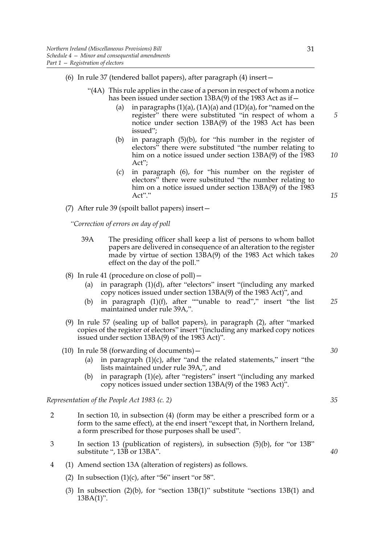- (6) In rule 37 (tendered ballot papers), after paragraph (4) insert—
	- "(4A) This rule applies in the case of a person in respect of whom a notice has been issued under section 13BA(9) of the 1983 Act as if -
		- (a) in paragraphs  $(1)(a)$ ,  $(1A)(a)$  and  $(1D)(a)$ , for "named on the register" there were substituted "in respect of whom a notice under section 13BA(9) of the 1983 Act has been issued";
		- (b) in paragraph (5)(b), for "his number in the register of electors" there were substituted "the number relating to him on a notice issued under section 13BA(9) of the 1983 Act";
		- (c) in paragraph (6), for "his number on the register of electors" there were substituted "the number relating to him on a notice issued under section 13BA(9) of the 1983 Act"."

(7) After rule 39 (spoilt ballot papers) insert—

*"Correction of errors on day of poll*

- 39A The presiding officer shall keep a list of persons to whom ballot papers are delivered in consequence of an alteration to the register made by virtue of section 13BA(9) of the 1983 Act which takes effect on the day of the poll."
- (8) In rule 41 (procedure on close of poll)—
	- (a) in paragraph (1)(d), after "electors" insert "(including any marked copy notices issued under section 13BA(9) of the 1983 Act)", and
	- (b) in paragraph (1)(f), after ""unable to read"," insert "the list maintained under rule 39A,". *25*
- (9) In rule 57 (sealing up of ballot papers), in paragraph (2), after "marked copies of the register of electors" insert "(including any marked copy notices issued under section 13BA(9) of the 1983 Act)".
- (10) In rule 58 (forwarding of documents)—
	- (a) in paragraph  $(1)(c)$ , after "and the related statements," insert "the lists maintained under rule 39A,", and
	- (b) in paragraph (1)(e), after "registers" insert "(including any marked copy notices issued under section 13BA(9) of the 1983 Act)".

*Representation of the People Act 1983 (c. 2)*

- 2 In section 10, in subsection (4) (form may be either a prescribed form or a form to the same effect), at the end insert "except that, in Northern Ireland, a form prescribed for those purposes shall be used".
- 3 In section 13 (publication of registers), in subsection (5)(b), for "or 13B" substitute ", 13B or 13BA".
- 4 (1) Amend section 13A (alteration of registers) as follows.
	- (2) In subsection  $(1)(c)$ , after "56" insert "or 58".
	- (3) In subsection  $(2)(b)$ , for "section 13B $(1)$ " substitute "sections 13B $(1)$  and 13BA(1)".

*5*

*10*

*15*

*20*

*35*

*30*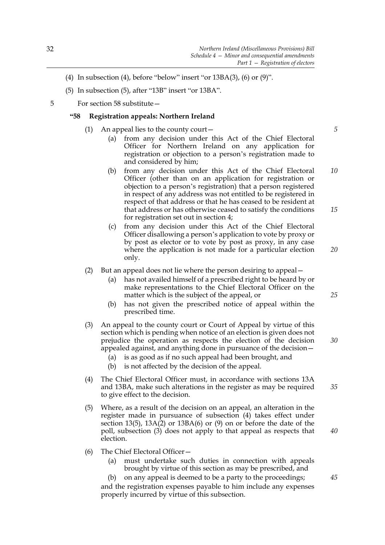- (4) In subsection (4), before "below" insert "or  $13BA(3)$ , (6) or  $(9)$ ".
- (5) In subsection (5), after "13B" insert "or 13BA".
- 5 For section 58 substitute—

#### **"58 Registration appeals: Northern Ireland**

- (1) An appeal lies to the county court  $-$ 
	- (a) from any decision under this Act of the Chief Electoral Officer for Northern Ireland on any application for registration or objection to a person's registration made to and considered by him;
	- (b) from any decision under this Act of the Chief Electoral Officer (other than on an application for registration or objection to a person's registration) that a person registered in respect of any address was not entitled to be registered in respect of that address or that he has ceased to be resident at that address or has otherwise ceased to satisfy the conditions for registration set out in section 4; *10 15*
	- (c) from any decision under this Act of the Chief Electoral Officer disallowing a person's application to vote by proxy or by post as elector or to vote by post as proxy, in any case where the application is not made for a particular election only.

#### (2) But an appeal does not lie where the person desiring to appeal—

- (a) has not availed himself of a prescribed right to be heard by or make representations to the Chief Electoral Officer on the matter which is the subject of the appeal, or
- (b) has not given the prescribed notice of appeal within the prescribed time.
- (3) An appeal to the county court or Court of Appeal by virtue of this section which is pending when notice of an election is given does not prejudice the operation as respects the election of the decision appealed against, and anything done in pursuance of the decision—
	- (a) is as good as if no such appeal had been brought, and
	- (b) is not affected by the decision of the appeal.
- (4) The Chief Electoral Officer must, in accordance with sections 13A and 13BA, make such alterations in the register as may be required to give effect to the decision.
- (5) Where, as a result of the decision on an appeal, an alteration in the register made in pursuance of subsection (4) takes effect under section 13(5), 13A(2) or 13BA(6) or (9) on or before the date of the poll, subsection (3) does not apply to that appeal as respects that election.
- (6) The Chief Electoral Officer—
	- (a) must undertake such duties in connection with appeals brought by virtue of this section as may be prescribed, and
	- (b) on any appeal is deemed to be a party to the proceedings; and the registration expenses payable to him include any expenses properly incurred by virtue of this subsection.

*5*

*25*

*20*

*30*

*35*

*40*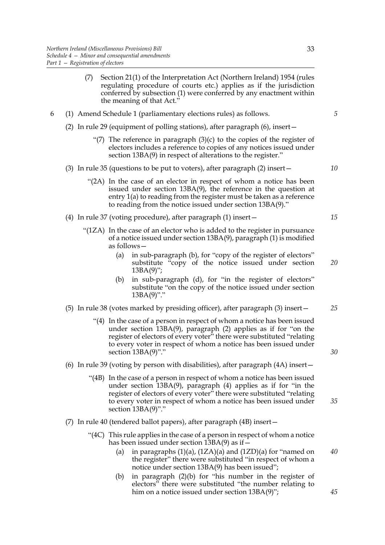- (7) Section 21(1) of the Interpretation Act (Northern Ireland) 1954 (rules regulating procedure of courts etc.) applies as if the jurisdiction conferred by subsection (1) were conferred by any enactment within the meaning of that Act."
- 6 (1) Amend Schedule 1 (parliamentary elections rules) as follows.
	- (2) In rule 29 (equipment of polling stations), after paragraph (6), insert—
		- "(7) The reference in paragraph  $(3)(c)$  to the copies of the register of electors includes a reference to copies of any notices issued under section 13BA(9) in respect of alterations to the register."
	- (3) In rule 35 (questions to be put to voters), after paragraph (2) insert—
		- "(2A) In the case of an elector in respect of whom a notice has been issued under section 13BA(9), the reference in the question at entry 1(a) to reading from the register must be taken as a reference to reading from the notice issued under section 13BA(9)."
	- (4) In rule 37 (voting procedure), after paragraph (1) insert—
		- "(1ZA) In the case of an elector who is added to the register in pursuance of a notice issued under section 13BA(9), paragraph (1) is modified as follows—
			- (a) in sub-paragraph (b), for "copy of the register of electors" substitute "copy of the notice issued under section  $13BA(9)$ ";
			- (b) in sub-paragraph (d), for "in the register of electors" substitute "on the copy of the notice issued under section  $13BA(9)$ "."
	- (5) In rule 38 (votes marked by presiding officer), after paragraph (3) insert— *25*
		- "(4) In the case of a person in respect of whom a notice has been issued under section 13BA(9), paragraph (2) applies as if for "on the register of electors of every voter" there were substituted "relating to every voter in respect of whom a notice has been issued under section 13BA(9)"."
	- (6) In rule 39 (voting by person with disabilities), after paragraph (4A) insert—
		- "(4B) In the case of a person in respect of whom a notice has been issued under section 13BA(9), paragraph (4) applies as if for "in the register of electors of every voter" there were substituted "relating to every voter in respect of whom a notice has been issued under section  $13BA(9)$ "." *35*
	- (7) In rule 40 (tendered ballot papers), after paragraph (4B) insert—
		- "(4C) This rule applies in the case of a person in respect of whom a notice has been issued under section 13BA(9) as if -
			- (a) in paragraphs  $(1)(a)$ ,  $(1ZA)(a)$  and  $(1ZD)(a)$  for "named on the register" there were substituted "in respect of whom a notice under section 13BA(9) has been issued";
			- (b) in paragraph (2)(b) for "his number in the register of electors" there were substituted "the number relating to him on a notice issued under section 13BA(9)";

*30*

*40*

*15*

*20*

*10*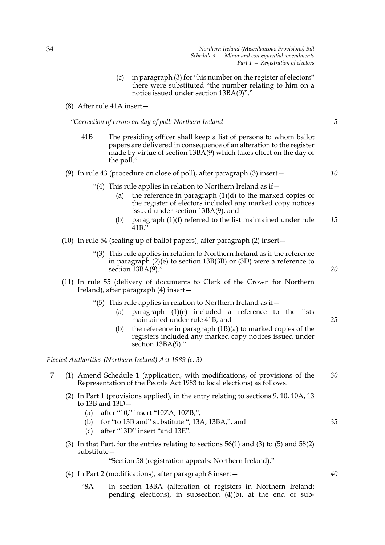(c) in paragraph (3) for "his number on the register of electors" there were substituted "the number relating to him on a notice issued under section 13BA(9)"."

(8) After rule 41A insert—

*"Correction of errors on day of poll: Northern Ireland*

41B The presiding officer shall keep a list of persons to whom ballot papers are delivered in consequence of an alteration to the register made by virtue of section  $13B\overline{A}(9)$  which takes effect on the day of the poll."

#### (9) In rule 43 (procedure on close of poll), after paragraph (3) insert—

- "(4) This rule applies in relation to Northern Ireland as if  $-$ 
	- (a) the reference in paragraph  $(1)(d)$  to the marked copies of the register of electors included any marked copy notices issued under section 13BA(9), and
	- (b) paragraph (1)(f) referred to the list maintained under rule 41B." *15*
- (10) In rule 54 (sealing up of ballot papers), after paragraph (2) insert—
	- "(3) This rule applies in relation to Northern Ireland as if the reference in paragraph (2)(e) to section 13B(3B) or (3D) were a reference to section  $13\overline{BA(9)}$ .
- (11) In rule 55 (delivery of documents to Clerk of the Crown for Northern Ireland), after paragraph (4) insert—
	- "(5) This rule applies in relation to Northern Ireland as if  $-$ 
		- (a) paragraph  $(1)(c)$  included a reference to the lists maintained under rule 41B, and
		- (b) the reference in paragraph (1B)(a) to marked copies of the registers included any marked copy notices issued under section 13BA(9)."

*Elected Authorities (Northern Ireland) Act 1989 (c. 3)*

- 7 (1) Amend Schedule 1 (application, with modifications, of provisions of the Representation of the People Act 1983 to local elections) as follows. *30*
	- (2) In Part 1 (provisions applied), in the entry relating to sections 9, 10, 10A, 13 to 13B and 13D—
		- (a) after "10," insert "10ZA, 10ZB,",
		- (b) for "to 13B and" substitute ", 13A, 13BA,", and
		- (c) after "13D" insert "and 13E".
	- (3) In that Part, for the entries relating to sections 56(1) and (3) to (5) and 58(2) substitute—

"Section 58 (registration appeals: Northern Ireland)."

- (4) In Part 2 (modifications), after paragraph 8 insert—
	- "8A In section 13BA (alteration of registers in Northern Ireland: pending elections), in subsection  $(4)(b)$ , at the end of sub-

*40*

*35*

*20*

*25*

*5*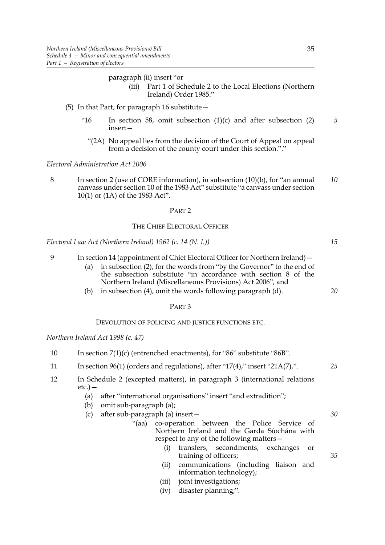- paragraph (ii) insert "or (iii) Part 1 of Schedule 2 to the Local Elections (Northern Ireland) Order 1985."
- (5) In that Part, for paragraph 16 substitute—
	- "16 In section 58, omit subsection (1)(c) and after subsection (2) insert— *5*
		- "(2A) No appeal lies from the decision of the Court of Appeal on appeal from a decision of the county court under this section."."

*Electoral Administration Act 2006*

8 In section 2 (use of CORE information), in subsection (10)(b), for "an annual canvass under section 10 of the 1983 Act" substitute "a canvass under section 10(1) or (1A) of the 1983 Act". *10*

#### PART 2

#### THE CHIEF ELECTORAL OFFICER

*Electoral Law Act (Northern Ireland) 1962 (c. 14 (N. I.))*

- 9 In section 14 (appointment of Chief Electoral Officer for Northern Ireland)—
	- (a) in subsection (2), for the words from "by the Governor" to the end of the subsection substitute "in accordance with section 8 of the Northern Ireland (Miscellaneous Provisions) Act 2006", and
	- (b) in subsection (4), omit the words following paragraph (d).

#### PART 3

#### DEVOLUTION OF POLICING AND JUSTICE FUNCTIONS ETC.

*Northern Ireland Act 1998 (c. 47)*

- 10 In section 7(1)(c) (entrenched enactments), for "86" substitute "86B".
- 11 In section 96(1) (orders and regulations), after "17(4)," insert "21A(7),".
- 12 In Schedule 2 (excepted matters), in paragraph 3 (international relations  $etc.$ ) —
	- (a) after "international organisations" insert "and extradition";
	- (b) omit sub-paragraph (a);
	- (c) after sub-paragraph (a) insert—
		- "(aa) co-operation between the Police Service of Northern Ireland and the Garda Síochána with respect to any of the following matters—
			- (i) transfers, secondments, exchanges or training of officers;
			- (ii) communications (including liaison and information technology);
			- (iii) joint investigations;
			- (iv) disaster planning;".

35

*25*

*15*

*20*

*30*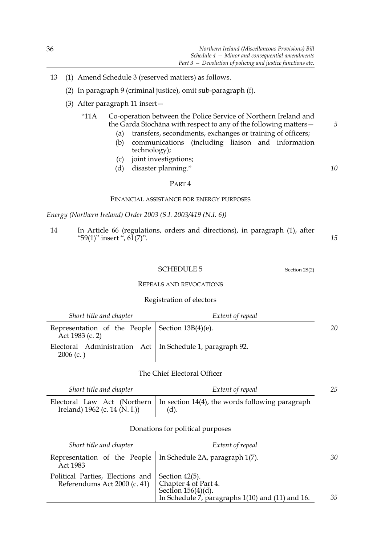- 13 (1) Amend Schedule 3 (reserved matters) as follows.
	- (2) In paragraph 9 (criminal justice), omit sub-paragraph (f).
	- (3) After paragraph 11 insert—
		- "11A Co-operation between the Police Service of Northern Ireland and the Garda Síochána with respect to any of the following matters—
			- (a) transfers, secondments, exchanges or training of officers; (b) communications (including liaison and information technology);
			- (c) joint investigations;
			- (d) disaster planning."

### *10*

*5*

#### PART 4

#### FINANCIAL ASSISTANCE FOR ENERGY PURPOSES

*Energy (Northern Ireland) Order 2003 (S.I. 2003/419 (N.I. 6))*

14 In Article 66 (regulations, orders and directions), in paragraph (1), after "59(1)" insert ",  $61(7)$ ". *15*

#### SCHEDULE 5 Section 28(2)

#### REPEALS AND REVOCATIONS

#### Registration of electors

| Short title and chapter                                                    | Extent of repeal |    |
|----------------------------------------------------------------------------|------------------|----|
| Representation of the People   Section $13B(4)(e)$ .<br>Act 1983 (c. 2)    |                  | 20 |
| Electoral Administration Act   In Schedule 1, paragraph 92.<br>$2006$ (c.) |                  |    |

#### The Chief Electoral Officer

| Short title and chapter           | Extent of repeal                                                                         | 25 |
|-----------------------------------|------------------------------------------------------------------------------------------|----|
| Ireland) $1962$ (c. $14$ (N. I.)) | Electoral Law Act (Northern   In section 14(4), the words following paragraph<br>$(d)$ . |    |

#### Donations for political purposes

| Short title and chapter                                                         | Extent of repeal                                                                                  |    |
|---------------------------------------------------------------------------------|---------------------------------------------------------------------------------------------------|----|
| Representation of the People   In Schedule 2A, paragraph 1(7).<br>Act 1983      |                                                                                                   | 30 |
| Political Parties, Elections and Section 42(5).<br>Referendums Act 2000 (c. 41) | Chapter 4 of Part 4.<br>Section $156(4)(d)$ .<br>In Schedule 7, paragraphs 1(10) and (11) and 16. | 35 |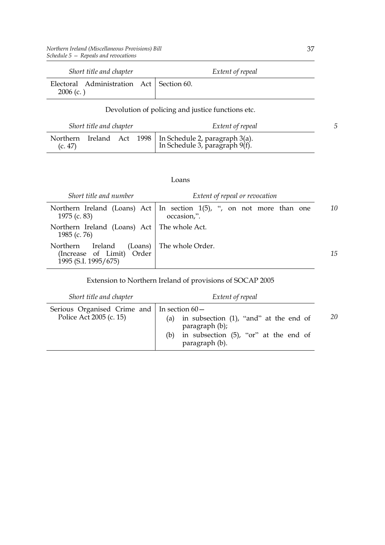| Short title and chapter                                   |  | Extent of repeal |
|-----------------------------------------------------------|--|------------------|
| Electoral Administration Act   Section 60.<br>$2006$ (c.) |  |                  |

### Devolution of policing and justice functions etc.

| Short title and chapter |  |  |  | Extent of repeal                                                                                   |  |
|-------------------------|--|--|--|----------------------------------------------------------------------------------------------------|--|
|                         |  |  |  | Northern Ireland Act 1998 In Schedule 2, paragraph 3(a).<br>(c. 47) In Schedule 3, paragraph 9(f). |  |

#### Loans

| Short title and number                                                   | Extent of repeal or revocation                                                            |    |  |  |
|--------------------------------------------------------------------------|-------------------------------------------------------------------------------------------|----|--|--|
| 1975 (c. 83)                                                             | Northern Ireland (Loans) Act   In section $1(5)$ , ", on not more than one<br>occasion,". | 10 |  |  |
| Northern Ireland (Loans) Act   The whole Act.<br>1985 (c. 76)            |                                                                                           |    |  |  |
| Ireland<br>Northern<br>(Increase of Limit) Order<br>1995 (S.I. 1995/675) | (Loans) The whole Order.                                                                  | 15 |  |  |

Extension to Northern Ireland of provisions of SOCAP 2005

| Short title and chapter                                                        | Extent of repeal                                                                                                                     |    |
|--------------------------------------------------------------------------------|--------------------------------------------------------------------------------------------------------------------------------------|----|
| Serious Organised Crime and $\vert$ In section 60 –<br>Police Act 2005 (c. 15) | in subsection $(1)$ , "and" at the end of<br>(a)<br>paragraph (b);<br>in subsection (5), "or" at the end of<br>(b)<br>paragraph (b). | 20 |